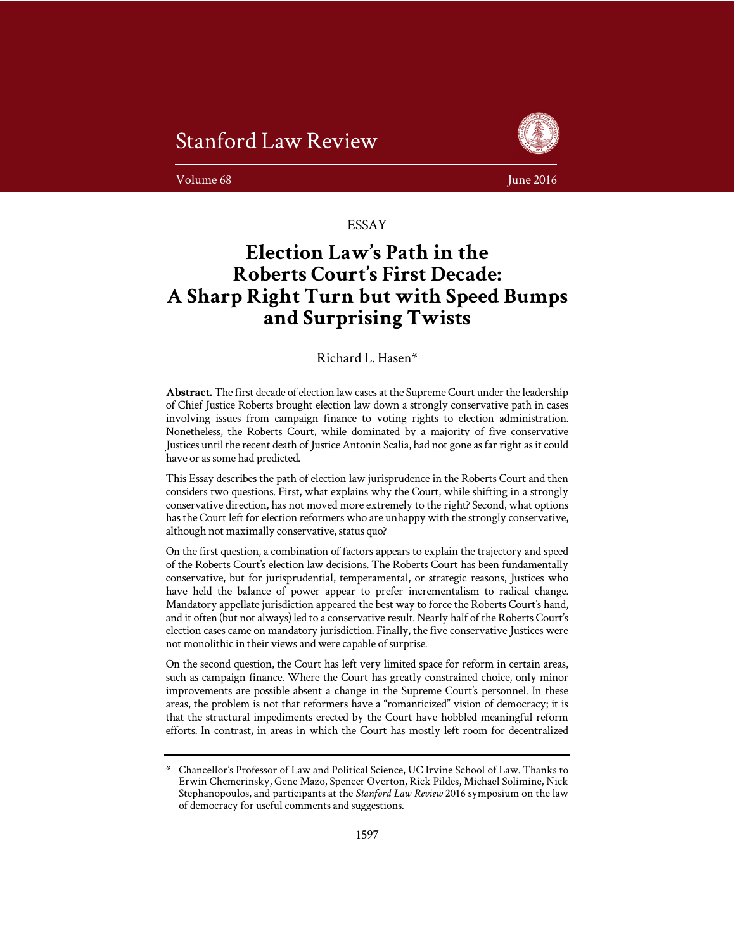



**Volume 68** June 2016

ESSAY

# **Election Law's Path in the Roberts Court's First Decade: A Sharp Right Turn but with Speed Bumps and Surprising Twists**

## Richard L. Hasen\*

**Abstract.** The first decade of election law cases at the Supreme Court under the leadership of Chief Justice Roberts brought election law down a strongly conservative path in cases involving issues from campaign finance to voting rights to election administration. Nonetheless, the Roberts Court, while dominated by a majority of five conservative Justices until the recent death of Justice Antonin Scalia, had not gone as far right as it could have or as some had predicted.

This Essay describes the path of election law jurisprudence in the Roberts Court and then considers two questions. First, what explains why the Court, while shifting in a strongly conservative direction, has not moved more extremely to the right? Second, what options has the Court left for election reformers who are unhappy with the strongly conservative, although not maximally conservative, status quo?

On the first question, a combination of factors appears to explain the trajectory and speed of the Roberts Court's election law decisions. The Roberts Court has been fundamentally conservative, but for jurisprudential, temperamental, or strategic reasons, Justices who have held the balance of power appear to prefer incrementalism to radical change. Mandatory appellate jurisdiction appeared the best way to force the Roberts Court's hand, and it often (but not always) led to a conservative result. Nearly half of the Roberts Court's election cases came on mandatory jurisdiction. Finally, the five conservative Justices were not monolithic in their views and were capable of surprise.

On the second question, the Court has left very limited space for reform in certain areas, such as campaign finance. Where the Court has greatly constrained choice, only minor improvements are possible absent a change in the Supreme Court's personnel. In these areas, the problem is not that reformers have a "romanticized" vision of democracy; it is that the structural impediments erected by the Court have hobbled meaningful reform efforts. In contrast, in areas in which the Court has mostly left room for decentralized

<sup>\*</sup> Chancellor's Professor of Law and Political Science, UC Irvine School of Law. Thanks to Erwin Chemerinsky, Gene Mazo, Spencer Overton, Rick Pildes, Michael Solimine, Nick Stephanopoulos, and participants at the *Stanford Law Review* 2016 symposium on the law of democracy for useful comments and suggestions.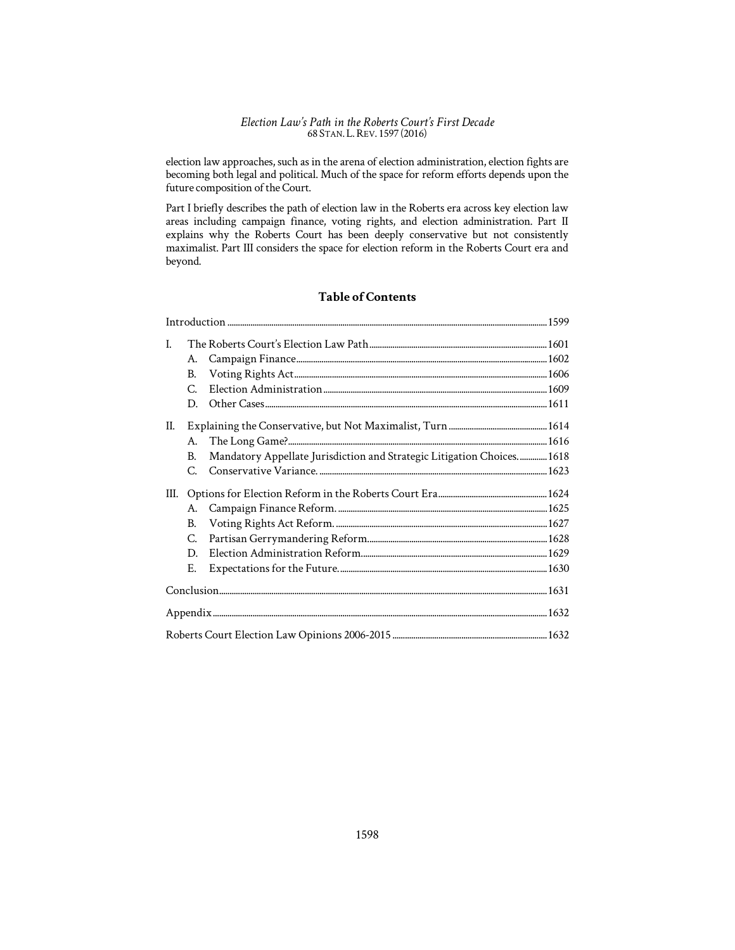election law approaches, such as in the arena of election administration, election fights are becoming both legal and political. Much of the space for reform efforts depends upon the future composition of the Court.

Part I briefly describes the path of election law in the Roberts era across key election law areas including campaign finance, voting rights, and election administration. Part II explains why the Roberts Court has been deeply conservative but not consistently maximalist. Part III considers the space for election reform in the Roberts Court era and beyond.

## **Table of Contents**

| L    |                       |                                                                        |  |
|------|-----------------------|------------------------------------------------------------------------|--|
|      | А.                    |                                                                        |  |
|      | B.                    |                                                                        |  |
|      | C.                    |                                                                        |  |
|      | D.                    |                                                                        |  |
| II.  |                       |                                                                        |  |
|      | А.                    |                                                                        |  |
|      | В.                    | Mandatory Appellate Jurisdiction and Strategic Litigation Choices 1618 |  |
|      | $\mathcal{C}_{\cdot}$ |                                                                        |  |
| III. |                       |                                                                        |  |
|      | А.                    |                                                                        |  |
|      | B.                    |                                                                        |  |
|      | C.                    |                                                                        |  |
|      | D.                    |                                                                        |  |
|      | Ε.                    |                                                                        |  |
|      |                       |                                                                        |  |
|      |                       |                                                                        |  |
|      |                       |                                                                        |  |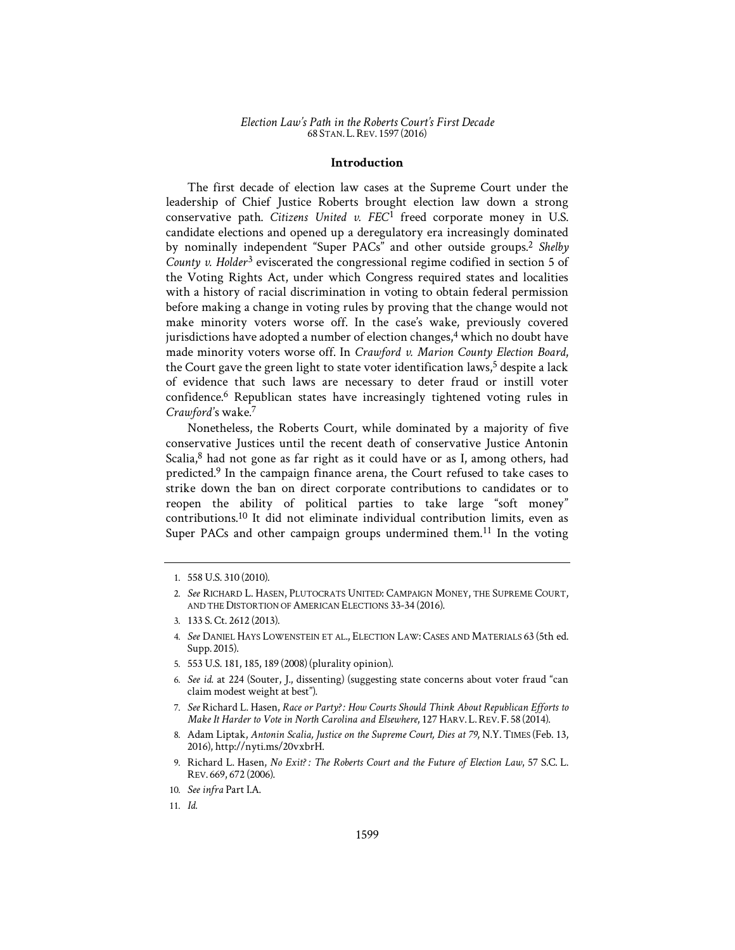## **Introduction**

The first decade of election law cases at the Supreme Court under the leadership of Chief Justice Roberts brought election law down a strong conservative path. *Citizens United v. FEC1* 1 freed corporate money in U.S. candidate elections and opened up a deregulatory era increasingly dominated by nominally independent "Super PACs" and other outside groups.<sup>2</sup> *Shelby*  County v. Holder<sup>3</sup> eviscerated the congressional regime codified in section 5 of the Voting Rights Act, under which Congress required states and localities with a history of racial discrimination in voting to obtain federal permission before making a change in voting rules by proving that the change would not make minority voters worse off. In the case's wake, previously covered jurisdictions have adopted a number of election changes, $4$  which no doubt have made minority voters worse off. In *Crawford v. Marion County Election Board*, the Court gave the green light to state voter identification laws, $<sup>5</sup>$  despite a lack</sup> of evidence that such laws are necessary to deter fraud or instill voter confidence.6 Republican states have increasingly tightened voting rules in Crawford's wake.<sup>7</sup>

Nonetheless, the Roberts Court, while dominated by a majority of five conservative Justices until the recent death of conservative Justice Antonin Scalia, $8$  had not gone as far right as it could have or as I, among others, had predicted.9 In the campaign finance arena, the Court refused to take cases to strike down the ban on direct corporate contributions to candidates or to reopen the ability of political parties to take large "soft money" contributions.10 It did not eliminate individual contribution limits, even as Super PACs and other campaign groups undermined them.<sup>11</sup> In the voting

- 4. *See* DANIEL HAYS LOWENSTEIN ET AL., ELECTION LAW: CASES AND MATERIALS 63 (5th ed. Supp. 2015).
- 5. 553 U.S. 181, 185, 189 (2008) (plurality opinion).
- 6. *See id.* at 224 (Souter, J., dissenting) (suggesting state concerns about voter fraud "can claim modest weight at best").
- 7. See Richard L. Hasen, *Race or Party?: How Courts Should Think About Republican Efforts to Make It Harder to Vote in North Carolina and Elsewhere*, 127 HARV. L.REV. F. 58 (2014).
- 8. Adam Liptak, *Antonin Scalia, Justice on the Supreme Court, Dies at 79*, N.Y. TIMES (Feb. 13, 2016), http://nyti.ms/20vxbrH.
- 9. Richard L. Hasen, *No Exit?*: The Roberts Court and the Future of Election Law, 57 S.C. L. REV. 669, 672 (2006).

<sup>1. 558</sup> U.S. 310 (2010).

<sup>2.</sup> *See* RICHARD L. HASEN, PLUTOCRATS UNITED: CAMPAIGN MONEY, THE SUPREME COURT, AND THE DISTORTION OF AMERICAN ELECTIONS 33-34 (2016).

<sup>3. 133</sup> S. Ct. 2612 (2013).

<sup>10.</sup> *See infra* Part I.A.

<sup>11.</sup> *Id.*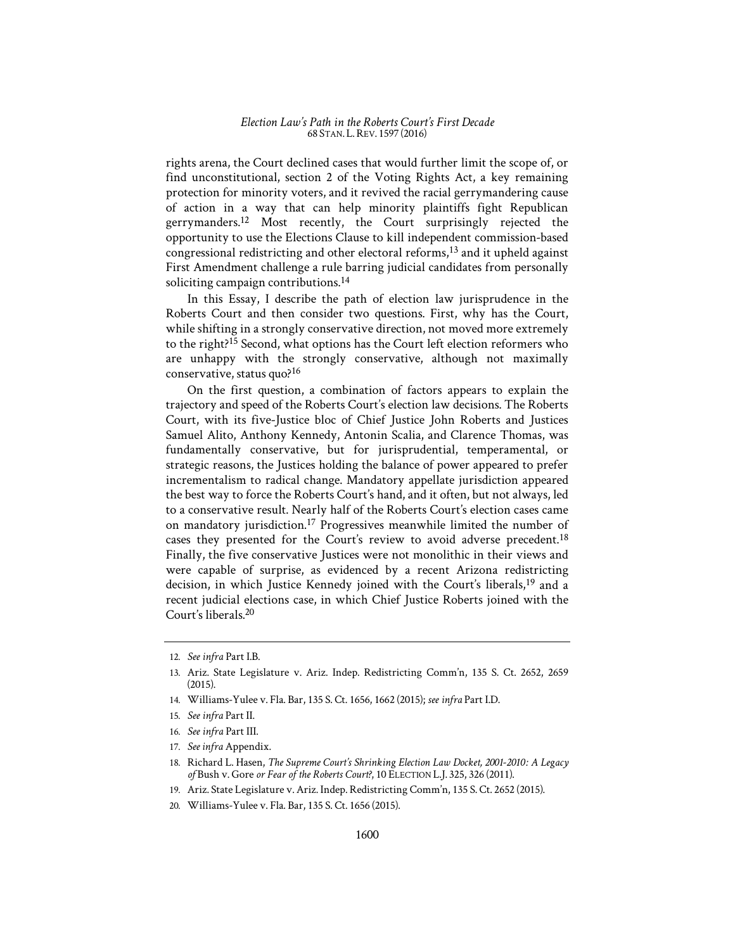rights arena, the Court declined cases that would further limit the scope of, or find unconstitutional, section 2 of the Voting Rights Act, a key remaining protection for minority voters, and it revived the racial gerrymandering cause of action in a way that can help minority plaintiffs fight Republican gerrymanders.12 Most recently, the Court surprisingly rejected the opportunity to use the Elections Clause to kill independent commission-based congressional redistricting and other electoral reforms,13 and it upheld against First Amendment challenge a rule barring judicial candidates from personally soliciting campaign contributions.<sup>14</sup>

In this Essay, I describe the path of election law jurisprudence in the Roberts Court and then consider two questions. First, why has the Court, while shifting in a strongly conservative direction, not moved more extremely to the right?15 Second, what options has the Court left election reformers who are unhappy with the strongly conservative, although not maximally conservative, status quo?16

On the first question, a combination of factors appears to explain the trajectory and speed of the Roberts Court's election law decisions. The Roberts Court, with its five-Justice bloc of Chief Justice John Roberts and Justices Samuel Alito, Anthony Kennedy, Antonin Scalia, and Clarence Thomas, was fundamentally conservative, but for jurisprudential, temperamental, or strategic reasons, the Justices holding the balance of power appeared to prefer incrementalism to radical change. Mandatory appellate jurisdiction appeared the best way to force the Roberts Court's hand, and it often, but not always, led to a conservative result. Nearly half of the Roberts Court's election cases came on mandatory jurisdiction.17 Progressives meanwhile limited the number of cases they presented for the Court's review to avoid adverse precedent.<sup>18</sup> Finally, the five conservative Justices were not monolithic in their views and were capable of surprise, as evidenced by a recent Arizona redistricting decision, in which Justice Kennedy joined with the Court's liberals,<sup>19</sup> and a recent judicial elections case, in which Chief Justice Roberts joined with the Court's liberals.20

14. Williams-Yulee v. Fla. Bar, 135 S. Ct. 1656, 1662 (2015); *see infra* Part I.D.

- 16. *See infra* Part III.
- 17. *See infra* Appendix.
- 18. Richard L. Hasen, *The Supreme Court's Shrinking Election Law Docket, 2001-2010*1'*: A Legacy of* Bush v. Gore *or Fear of the Roberts Court?*, 10 ELECTION L.J. 325, 326 (2011).
- 19. Ariz. State Legislature v. Ariz. Indep. Redistricting Comm'n, 135 S. Ct. 2652 (2015).
- 20. Williams-Yulee v. Fla. Bar, 135 S. Ct. 1656 (2015).

<sup>12.</sup> *See infra* Part I.B.

<sup>13.</sup> Ariz. State Legislature v. Ariz. Indep. Redistricting Comm'n, 135 S. Ct. 2652, 2659 (2015).

<sup>15.</sup> *See infra* Part II.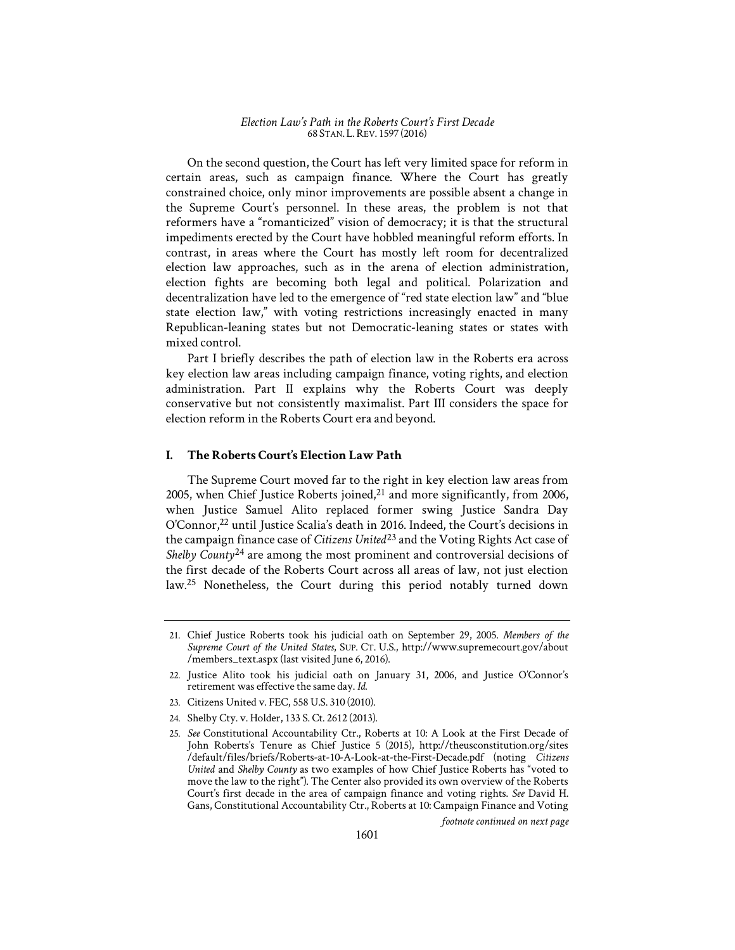On the second question, the Court has left very limited space for reform in certain areas, such as campaign finance. Where the Court has greatly constrained choice, only minor improvements are possible absent a change in the Supreme Court's personnel. In these areas, the problem is not that reformers have a "romanticized" vision of democracy; it is that the structural impediments erected by the Court have hobbled meaningful reform efforts. In contrast, in areas where the Court has mostly left room for decentralized election law approaches, such as in the arena of election administration, election fights are becoming both legal and political. Polarization and decentralization have led to the emergence of "red state election law" and "blue state election law," with voting restrictions increasingly enacted in many Republican-leaning states but not Democratic-leaning states or states with mixed control.

Part I briefly describes the path of election law in the Roberts era across key election law areas including campaign finance, voting rights, and election administration. Part II explains why the Roberts Court was deeply conservative but not consistently maximalist. Part III considers the space for election reform in the Roberts Court era and beyond.

## **I. The Roberts Court's Election Law Path**

The Supreme Court moved far to the right in key election law areas from 2005, when Chief Justice Roberts joined, $21$  and more significantly, from 2006, when Justice Samuel Alito replaced former swing Justice Sandra Day O'Connor,22 until Justice Scalia's death in 2016. Indeed, the Court's decisions in the campaign finance case of *Citizens United1* 23 and the Voting Rights Act case of Shelby County<sup>24</sup> are among the most prominent and controversial decisions of the first decade of the Roberts Court across all areas of law, not just election law.25 Nonetheless, the Court during this period notably turned down

- 23. Citizens United v. FEC, 558 U.S. 310 (2010).
- 24. Shelby Cty. v. Holder, 133 S. Ct. 2612 (2013).

*footnote continued on next page* 

<sup>21.</sup> Chief Justice Roberts took his judicial oath on September 29, 2005. *Members of the Supreme Court of the United States*, SUP. CT. U.S., http://www.supremecourt.gov/about /members\_text.aspx (last visited June 6, 2016).

<sup>22.</sup> Justice Alito took his judicial oath on January 31, 2006, and Justice O'Connor's retirement was effective the same day. *Id.*

<sup>25.</sup> *See* Constitutional Accountability Ctr., Roberts at 10: A Look at the First Decade of John Roberts's Tenure as Chief Justice 5 (2015), http://theusconstitution.org/sites /default/files/briefs/Roberts-at-10-A-Look-at-the-First-Decade.pdf (noting *Citizens United* and *Shelby County* as two examples of how Chief Justice Roberts has "voted to move the law to the right"). The Center also provided its own overview of the Roberts Court's first decade in the area of campaign finance and voting rights. *See* David H. Gans, Constitutional Accountability Ctr., Roberts at 10: Campaign Finance and Voting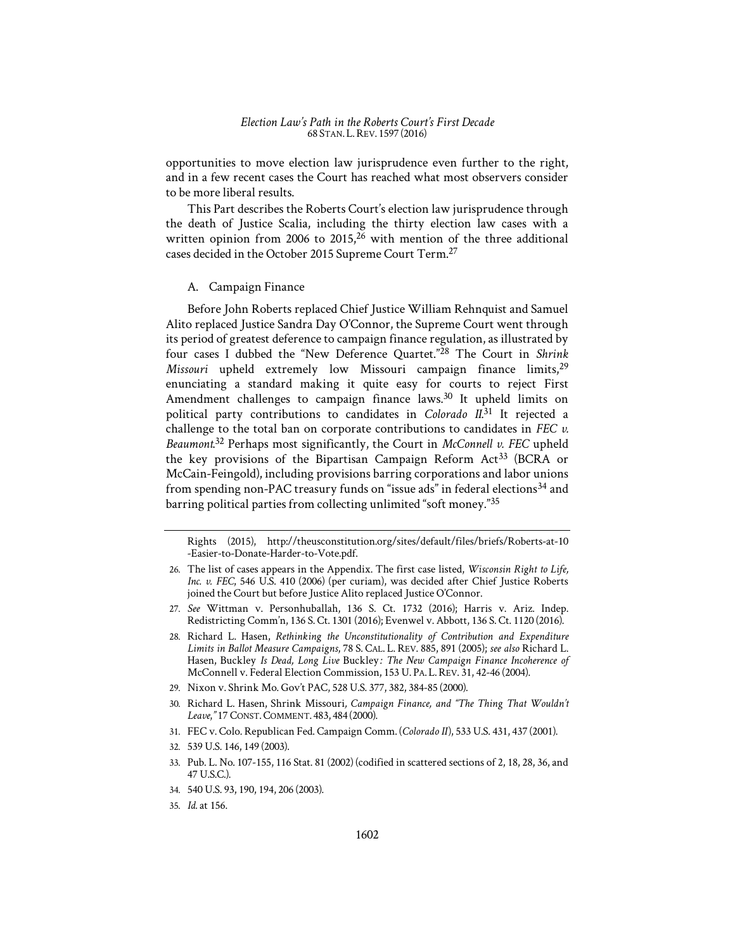opportunities to move election law jurisprudence even further to the right, and in a few recent cases the Court has reached what most observers consider to be more liberal results.

This Part describes the Roberts Court's election law jurisprudence through the death of Justice Scalia, including the thirty election law cases with a written opinion from 2006 to 2015, $26$  with mention of the three additional cases decided in the October 2015 Supreme Court Term.27

A. Campaign Finance

Before John Roberts replaced Chief Justice William Rehnquist and Samuel Alito replaced Justice Sandra Day O'Connor, the Supreme Court went through its period of greatest deference to campaign finance regulation, as illustrated by four cases I dubbed the "New Deference Quartet."28 The Court in *Shrink*  Missouri upheld extremely low Missouri campaign finance limits,<sup>29</sup> enunciating a standard making it quite easy for courts to reject First Amendment challenges to campaign finance laws.<sup>30</sup> It upheld limits on political party contributions to candidates in *Colorado II*. 31 It rejected a challenge to the total ban on corporate contributions to candidates in *FEC v. Beaumont*. 32 Perhaps most significantly, the Court in *McConnell v. FEC* upheld the key provisions of the Bipartisan Campaign Reform Act<sup>33</sup> (BCRA or McCain-Feingold), including provisions barring corporations and labor unions from spending non-PAC treasury funds on "issue ads" in federal elections<sup>34</sup> and barring political parties from collecting unlimited "soft money."35

Rights (2015), http://theusconstitution.org/sites/default/files/briefs/Roberts-at-10 -Easier-to-Donate-Harder-to-Vote.pdf.

27. *See* Wittman v. Personhuballah, 136 S. Ct. 1732 (2016); Harris v. Ariz. Indep. Redistricting Comm'n, 136 S. Ct. 1301 (2016); Evenwel v. Abbott, 136 S. Ct. 1120 (2016).

- 29. Nixon v. Shrink Mo. Gov't PAC, 528 U.S. 377, 382, 384-85 (2000).
- 30. Richard L. Hasen, Shrink Missouri*, Campaign Finance, and "The Thing That Wouldn't*  Leave,"17 CONST. COMMENT. 483, 484 (2000).
- 31. FEC v. Colo. Republican Fed. Campaign Comm. (*Colorado II1*), 533 U.S. 431, 437 (2001).
- 32. 539 U.S. 146, 149 (2003).
- 33. Pub. L. No. 107-155, 116 Stat. 81 (2002) (codified in scattered sections of 2, 18, 28, 36, and 47 U.S.C.).
- 34. 540 U.S. 93, 190, 194, 206 (2003).

<sup>26.</sup> The list of cases appears in the Appendix. The first case listed, *Wisconsin Right to Life, Inc. v. FEC*, 546 U.S. 410 (2006) (per curiam), was decided after Chief Justice Roberts joined the Court but before Justice Alito replaced Justice O'Connor.

<sup>28.</sup> Richard L. Hasen, *Rethinking the Unconstitutionality of Contribution and Expenditure Limits in Ballot Measure Campaigns*, 78 S. CAL. L. REV. 885, 891 (2005); *see also* Richard L. Hasen, Buckley *Is Dead, Long Live Buckley: The New Campaign Finance Incoherence of* McConnell v. Federal Election Commission, 153 U. PA. L.REV. 31, 42-46 (2004).

<sup>35.</sup> *Id.* at 156.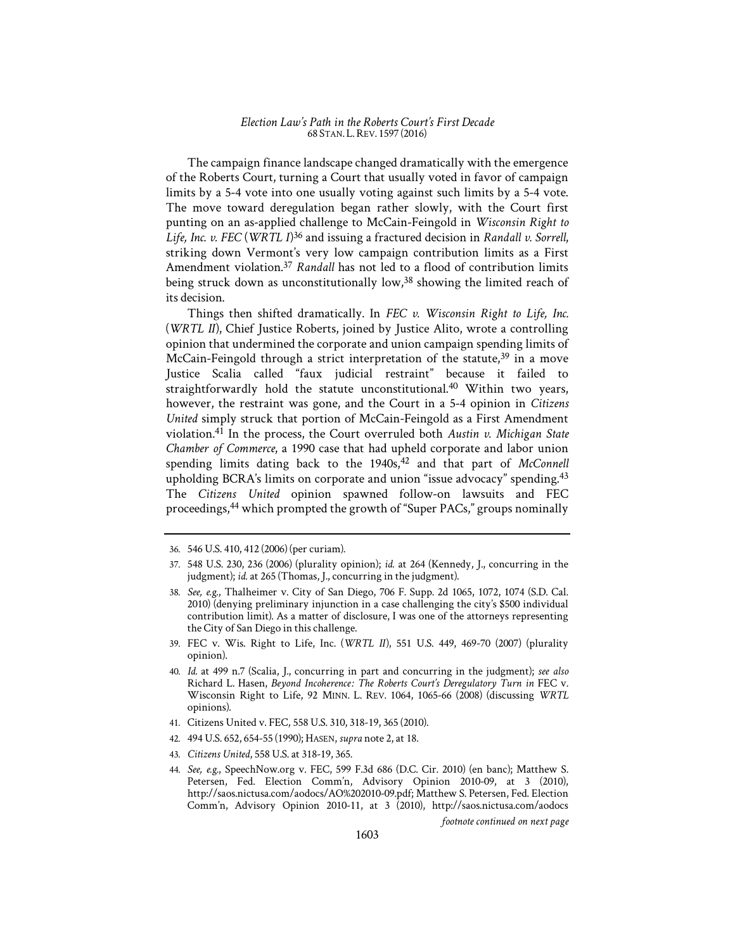The campaign finance landscape changed dramatically with the emergence of the Roberts Court, turning a Court that usually voted in favor of campaign limits by a 5-4 vote into one usually voting against such limits by a 5-4 vote. The move toward deregulation began rather slowly, with the Court first punting on an as-applied challenge to McCain-Feingold in *Wisconsin Right to Life, Inc. v. FEC* (*WRTL I1*) 36 and issuing a fractured decision in *Randall v. Sorrell*, striking down Vermont's very low campaign contribution limits as a First Amendment violation.<sup>37</sup> *Randall* has not led to a flood of contribution limits being struck down as unconstitutionally low,<sup>38</sup> showing the limited reach of its decision.

Things then shifted dramatically. In *FEC v. Wisconsin Right to Life, Inc.*  (*WRTL II1*), Chief Justice Roberts, joined by Justice Alito, wrote a controlling opinion that undermined the corporate and union campaign spending limits of McCain-Feingold through a strict interpretation of the statute,  $39$  in a move Justice Scalia called "faux judicial restraint" because it failed to straightforwardly hold the statute unconstitutional.40 Within two years, however, the restraint was gone, and the Court in a 5-4 opinion in *Citizens United* simply struck that portion of McCain-Feingold as a First Amendment violation.41 In the process, the Court overruled both *Austin v. Michigan State Chamber of Commerce*, a 1990 case that had upheld corporate and labor union spending limits dating back to the 1940s,<sup>42</sup> and that part of *McConnell* upholding BCRA's limits on corporate and union "issue advocacy" spending.<sup>43</sup> The *Citizens United* opinion spawned follow-on lawsuits and FEC proceedings,44 which prompted the growth of "Super PACs," groups nominally

39. FEC v. Wis. Right to Life, Inc. (*WRTL II1*), 551 U.S. 449, 469-70 (2007) (plurality opinion).

- 41. Citizens United v. FEC, 558 U.S. 310, 318-19, 365 (2010).
- 42. 494 U.S. 652, 654-55 (1990); HASEN, *supra* note 2, at 18.
- 43. *Citizens United*, 558 U.S. at 318-19, 365.

*footnote continued on next page* 

<sup>36. 546</sup> U.S. 410, 412 (2006) (per curiam).

<sup>37. 548</sup> U.S. 230, 236 (2006) (plurality opinion); *id.* at 264 (Kennedy, J., concurring in the judgment); *id.* at 265 (Thomas, J., concurring in the judgment).

<sup>38.</sup> *See, e.g.*, Thalheimer v. City of San Diego, 706 F. Supp. 2d 1065, 1072, 1074 (S.D. Cal. 2010) (denying preliminary injunction in a case challenging the city's \$500 individual contribution limit). As a matter of disclosure, I was one of the attorneys representing the City of San Diego in this challenge.

<sup>40.</sup> *Id.* at 499 n.7 (Scalia, J., concurring in part and concurring in the judgment); *see also*  Richard L. Hasen, *Beyond Incoherence*1'*: The Roberts Court's Deregulatory Turn in* FEC v. Wisconsin Right to Life, 92 MINN. L. REV. 1064, 1065-66 (2008) (discussing *WRTL* opinions).

<sup>44.</sup> *See, e.g.*, SpeechNow.org v. FEC, 599 F.3d 686 (D.C. Cir. 2010) (en banc); Matthew S. Petersen, Fed. Election Comm'n, Advisory Opinion 2010-09, at 3 (2010), http://saos.nictusa.com/aodocs/AO%202010-09.pdf; Matthew S. Petersen, Fed. Election Comm'n, Advisory Opinion 2010-11, at 3 (2010), http://saos.nictusa.com/aodocs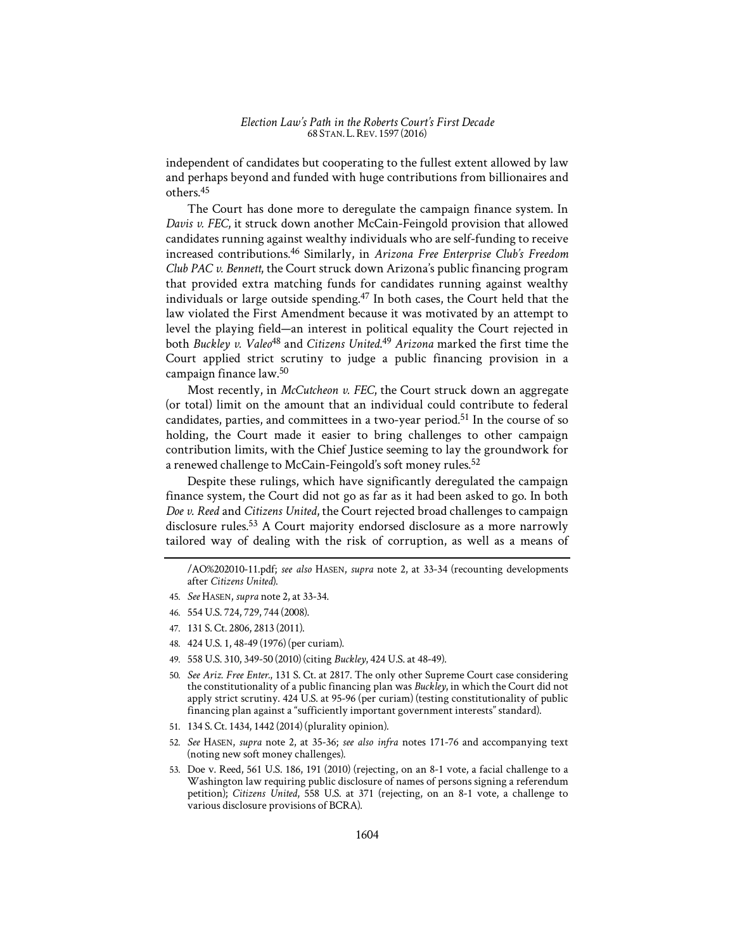independent of candidates but cooperating to the fullest extent allowed by law and perhaps beyond and funded with huge contributions from billionaires and others.45

The Court has done more to deregulate the campaign finance system. In *Davis v. FEC*, it struck down another McCain-Feingold provision that allowed candidates running against wealthy individuals who are self-funding to receive increased contributions.46 Similarly, in *Arizona Free Enterprise Club's Freedom Club PAC v. Bennett*, the Court struck down Arizona's public financing program that provided extra matching funds for candidates running against wealthy individuals or large outside spending.<sup>47</sup> In both cases, the Court held that the law violated the First Amendment because it was motivated by an attempt to level the playing field—an interest in political equality the Court rejected in both *Buckley v. Valeo*48 and *Citizens United*. <sup>49</sup> *Arizona* marked the first time the Court applied strict scrutiny to judge a public financing provision in a campaign finance law.50

Most recently, in *McCutcheon v. FEC*, the Court struck down an aggregate (or total) limit on the amount that an individual could contribute to federal candidates, parties, and committees in a two-year period.<sup>51</sup> In the course of so holding, the Court made it easier to bring challenges to other campaign contribution limits, with the Chief Justice seeming to lay the groundwork for a renewed challenge to McCain-Feingold's soft money rules.<sup>52</sup>

Despite these rulings, which have significantly deregulated the campaign finance system, the Court did not go as far as it had been asked to go. In both *Doe v. Reed* and *Citizens United*, the Court rejected broad challenges to campaign disclosure rules.<sup>53</sup> A Court majority endorsed disclosure as a more narrowly tailored way of dealing with the risk of corruption, as well as a means of

- 46. 554 U.S. 724, 729, 744 (2008).
- 47. 131 S. Ct. 2806, 2813 (2011).
- 48. 424 U.S. 1, 48-49 (1976) (per curiam).
- 49. 558 U.S. 310, 349-50 (2010) (citing *Buckley*, 424 U.S. at 48-49).
- 50. *See Ariz. Free Enter.*, 131 S. Ct. at 2817. The only other Supreme Court case considering the constitutionality of a public financing plan was *Buckley*, in which the Court did not apply strict scrutiny. 424 U.S. at 95-96 (per curiam) (testing constitutionality of public financing plan against a "sufficiently important government interests" standard).
- 51. 134 S. Ct. 1434, 1442 (2014) (plurality opinion).
- 52. *See* HASEN, *supra* note 2, at 35-36; *see also infra* notes 171-76 and accompanying text (noting new soft money challenges).
- 53. Doe v. Reed, 561 U.S. 186, 191 (2010) (rejecting, on an 8-1 vote, a facial challenge to a Washington law requiring public disclosure of names of persons signing a referendum petition); *Citizens United*, 558 U.S. at 371 (rejecting, on an 8-1 vote, a challenge to various disclosure provisions of BCRA).

<sup>/</sup>AO%202010-11.pdf; *see also* HASEN, *supra* note 2, at 33-34 (recounting developments after *Citizens United*).

<sup>45.</sup> *See* HASEN, *supra* note 2, at 33-34.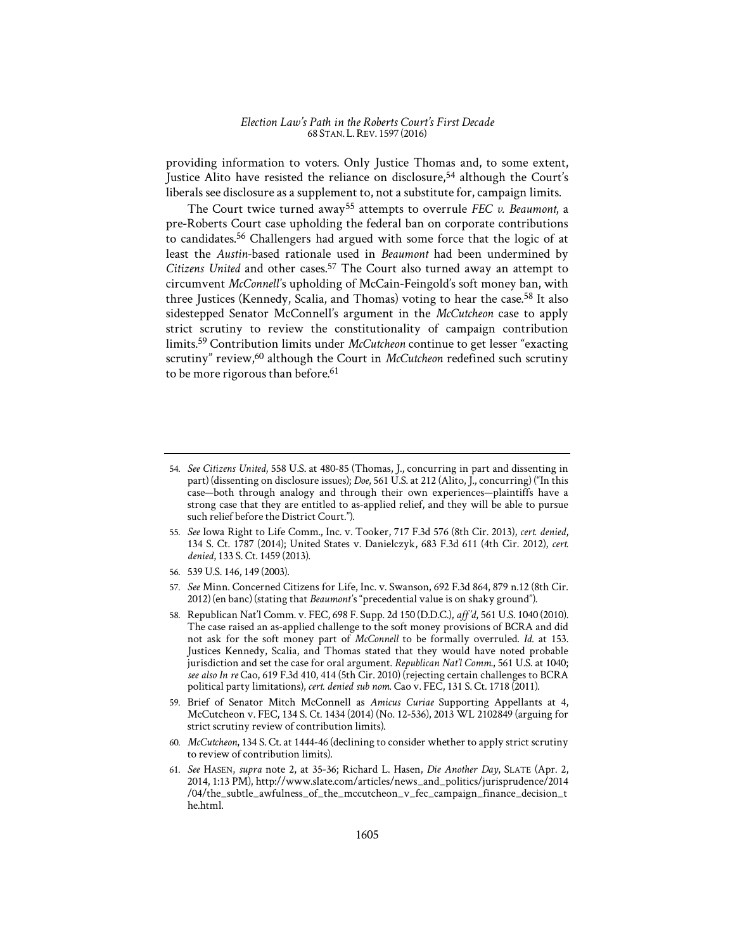providing information to voters. Only Justice Thomas and, to some extent, Justice Alito have resisted the reliance on disclosure,<sup>54</sup> although the Court's liberals see disclosure as a supplement to, not a substitute for, campaign limits.

The Court twice turned away<sup>55</sup> attempts to overrule *FEC v. Beaumont*, a pre-Roberts Court case upholding the federal ban on corporate contributions to candidates.56 Challengers had argued with some force that the logic of at least the *Austin*-based rationale used in *Beaumont* had been undermined by *Citizens United* and other cases.57 The Court also turned away an attempt to circumvent *McConnell's* upholding of McCain-Feingold's soft money ban, with three Justices (Kennedy, Scalia, and Thomas) voting to hear the case.<sup>58</sup> It also sidestepped Senator McConnell's argument in the *McCutcheon* case to apply strict scrutiny to review the constitutionality of campaign contribution limits.59 Contribution limits under *McCutcheon* continue to get lesser "exacting scrutiny" review,60 although the Court in *McCutcheon* redefined such scrutiny to be more rigorous than before.<sup>61</sup>

- 55. *See* Iowa Right to Life Comm., Inc. v. Tooker, 717 F.3d 576 (8th Cir. 2013), *cert. denied*, 134 S. Ct. 1787 (2014); United States v. Danielczyk, 683 F.3d 611 (4th Cir. 2012), *cert. denied*, 133 S. Ct. 1459 (2013).
- 56. 539 U.S. 146, 149 (2003).
- 57. *See* Minn. Concerned Citizens for Life, Inc. v. Swanson, 692 F.3d 864, 879 n.12 (8th Cir. 2012) (en banc) (stating that *Beaumont's* "precedential value is on shaky ground").
- 58. Republican Nat'l Comm. v. FEC, 698 F. Supp. 2d 150 (D.D.C.), *aff*1*'d*, 561 U.S. 1040 (2010). The case raised an as-applied challenge to the soft money provisions of BCRA and did not ask for the soft money part of *McConnell* to be formally overruled. *Id.* at 153. Justices Kennedy, Scalia, and Thomas stated that they would have noted probable jurisdiction and set the case for oral argument. *Republican Nat'l Comm.*, 561 U.S. at 1040; *see also In re* Cao, 619 F.3d 410, 414 (5th Cir. 2010) (rejecting certain challenges to BCRA political party limitations), *cert. denied sub nom.* Cao v. FEC, 131 S. Ct. 1718 (2011).
- 59. Brief of Senator Mitch McConnell as *Amicus Curiae* Supporting Appellants at 4, McCutcheon v. FEC, 134 S. Ct. 1434 (2014) (No. 12-536), 2013 WL 2102849 (arguing for strict scrutiny review of contribution limits).
- 60. *McCutcheon*, 134 S. Ct. at 1444-46 (declining to consider whether to apply strict scrutiny to review of contribution limits).
- 61. *See* HASEN, *supra* note 2, at 35-36; Richard L. Hasen, *Die Another Day*, SLATE (Apr. 2, 2014, 1:13 PM), http://www.slate.com/articles/news\_and\_politics/jurisprudence/2014 /04/the\_subtle\_awfulness\_of\_the\_mccutcheon\_v\_fec\_campaign\_finance\_decision\_t he.html.

<sup>54.</sup> *See Citizens United*, 558 U.S. at 480-85 (Thomas, J., concurring in part and dissenting in part) (dissenting on disclosure issues); *Doe*, 561 U.S. at 212 (Alito, J., concurring) ("In this case—both through analogy and through their own experiences—plaintiffs have a strong case that they are entitled to as-applied relief, and they will be able to pursue such relief before the District Court.").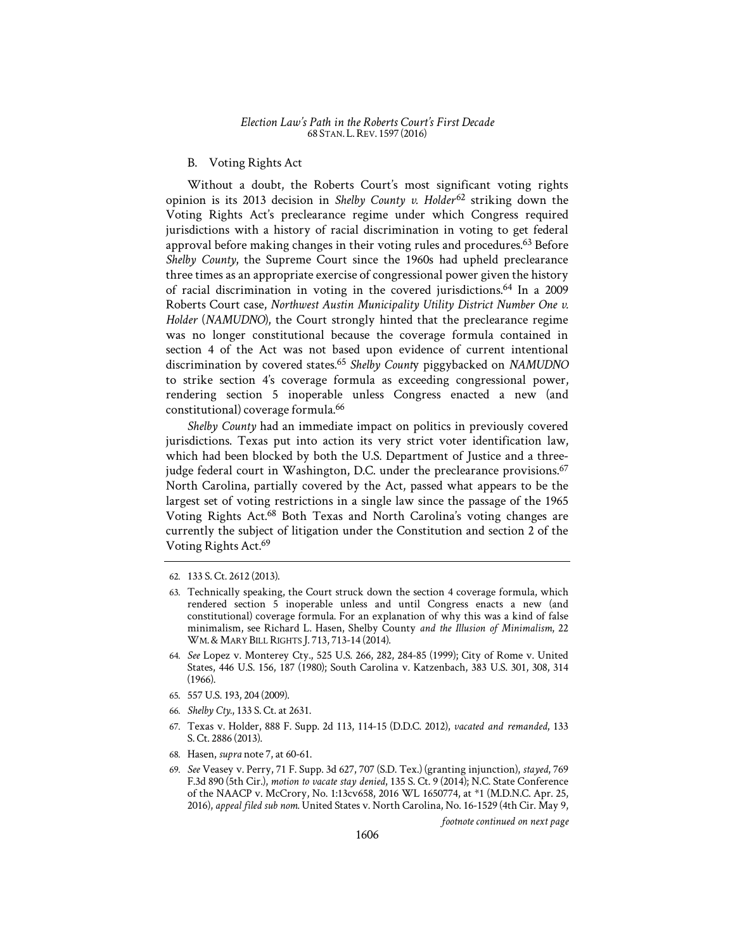#### B. Voting Rights Act

Without a doubt, the Roberts Court's most significant voting rights opinion is its 2013 decision in Shelby County v. Holder<sup>62</sup> striking down the Voting Rights Act's preclearance regime under which Congress required jurisdictions with a history of racial discrimination in voting to get federal approval before making changes in their voting rules and procedures.<sup>63</sup> Before *Shelby County*, the Supreme Court since the 1960s had upheld preclearance three times as an appropriate exercise of congressional power given the history of racial discrimination in voting in the covered jurisdictions.64 In a 2009 Roberts Court case, *Northwest Austin Municipality Utility District Number One v. Holder* (*NAMUDNO*), the Court strongly hinted that the preclearance regime was no longer constitutional because the coverage formula contained in section 4 of the Act was not based upon evidence of current intentional discrimination by covered states.<sup>65</sup> *Shelby Count*y piggybacked on *NAMUDNO*  to strike section 4's coverage formula as exceeding congressional power, rendering section 5 inoperable unless Congress enacted a new (and constitutional) coverage formula.66

*Shelby County* had an immediate impact on politics in previously covered jurisdictions. Texas put into action its very strict voter identification law, which had been blocked by both the U.S. Department of Justice and a threejudge federal court in Washington, D.C. under the preclearance provisions.<sup>67</sup> North Carolina, partially covered by the Act, passed what appears to be the largest set of voting restrictions in a single law since the passage of the 1965 Voting Rights Act.68 Both Texas and North Carolina's voting changes are currently the subject of litigation under the Constitution and section 2 of the Voting Rights Act.<sup>69</sup>

- 64. *See* Lopez v. Monterey Cty., 525 U.S. 266, 282, 284-85 (1999); City of Rome v. United States, 446 U.S. 156, 187 (1980); South Carolina v. Katzenbach, 383 U.S. 301, 308, 314 (1966).
- 65. 557 U.S. 193, 204 (2009).
- 66. *Shelby Cty.*, 133 S. Ct. at 2631.
- 67. Texas v. Holder, 888 F. Supp. 2d 113, 114-15 (D.D.C. 2012), *vacated and remanded*, 133 S. Ct. 2886 (2013).
- 68. Hasen, *supra* note 7, at 60-61.
- 69. *See* Veasey v. Perry, 71 F. Supp. 3d 627, 707 (S.D. Tex.) (granting injunction), *stayed*, 769 F.3d 890 (5th Cir.), *motion to vacate stay denied*, 135 S. Ct. 9 (2014); N.C. State Conference of the NAACP v. McCrory, No. 1:13cv658, 2016 WL 1650774, at \*1 (M.D.N.C. Apr. 25, 2016), *appeal filed sub nom.* United States v. North Carolina, No. 16-1529 (4th Cir. May 9,

*footnote continued on next page* 

<sup>62. 133</sup> S. Ct. 2612 (2013).

<sup>63.</sup> Technically speaking, the Court struck down the section 4 coverage formula, which rendered section 5 inoperable unless and until Congress enacts a new (and constitutional) coverage formula. For an explanation of why this was a kind of false minimalism, see Richard L. Hasen, Shelby County *and the Illusion of Minimalism*, 22 WM.& MARY BILL RIGHTS J. 713, 713-14 (2014).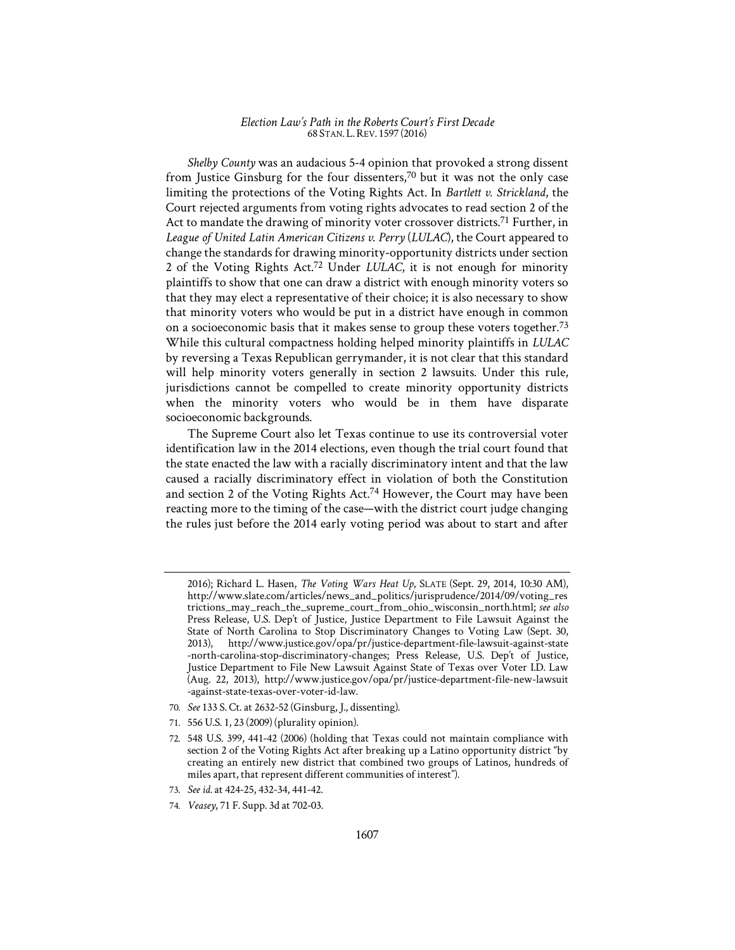*Shelby County* was an audacious 5-4 opinion that provoked a strong dissent from Justice Ginsburg for the four dissenters,<sup>70</sup> but it was not the only case limiting the protections of the Voting Rights Act. In *Bartlett v. Strickland*, the Court rejected arguments from voting rights advocates to read section 2 of the Act to mandate the drawing of minority voter crossover districts.<sup>71</sup> Further, in *League of United Latin American Citizens v. Perry* (*LULAC*), the Court appeared to change the standards for drawing minority-opportunity districts under section 2 of the Voting Rights Act.72 Under *LULAC*, it is not enough for minority plaintiffs to show that one can draw a district with enough minority voters so that they may elect a representative of their choice; it is also necessary to show that minority voters who would be put in a district have enough in common on a socioeconomic basis that it makes sense to group these voters together.73 While this cultural compactness holding helped minority plaintiffs in *LULAC*  by reversing a Texas Republican gerrymander, it is not clear that this standard will help minority voters generally in section 2 lawsuits. Under this rule, jurisdictions cannot be compelled to create minority opportunity districts when the minority voters who would be in them have disparate socioeconomic backgrounds.

The Supreme Court also let Texas continue to use its controversial voter identification law in the 2014 elections, even though the trial court found that the state enacted the law with a racially discriminatory intent and that the law caused a racially discriminatory effect in violation of both the Constitution and section 2 of the Voting Rights Act.<sup>74</sup> However, the Court may have been reacting more to the timing of the case—with the district court judge changing the rules just before the 2014 early voting period was about to start and after

- 70. *See* 133 S. Ct. at 2632-52 (Ginsburg, J., dissenting).
- 71. 556 U.S. 1, 23 (2009) (plurality opinion).
- 72. 548 U.S. 399, 441-42 (2006) (holding that Texas could not maintain compliance with section 2 of the Voting Rights Act after breaking up a Latino opportunity district "by creating an entirely new district that combined two groups of Latinos, hundreds of miles apart, that represent different communities of interest").
- 73. *See id.* at 424-25, 432-34, 441-42.
- 74. *Veasey*, 71 F. Supp. 3d at 702-03.

<sup>2016);</sup> Richard L. Hasen, *The Voting Wars Heat Up*, SLATE (Sept. 29, 2014, 10:30 AM), http://www.slate.com/articles/news\_and\_politics/jurisprudence/2014/09/voting\_res trictions\_may\_reach\_the\_supreme\_court\_from\_ohio\_wisconsin\_north.html; *see also*  Press Release, U.S. Dep't of Justice, Justice Department to File Lawsuit Against the State of North Carolina to Stop Discriminatory Changes to Voting Law (Sept. 30, 2013), http://www.justice.gov/opa/pr/justice-department-file-lawsuit-against-state -north-carolina-stop-discriminatory-changes; Press Release, U.S. Dep't of Justice, Justice Department to File New Lawsuit Against State of Texas over Voter I.D. Law (Aug. 22, 2013), http://www.justice.gov/opa/pr/justice-department-file-new-lawsuit -against-state-texas-over-voter-id-law.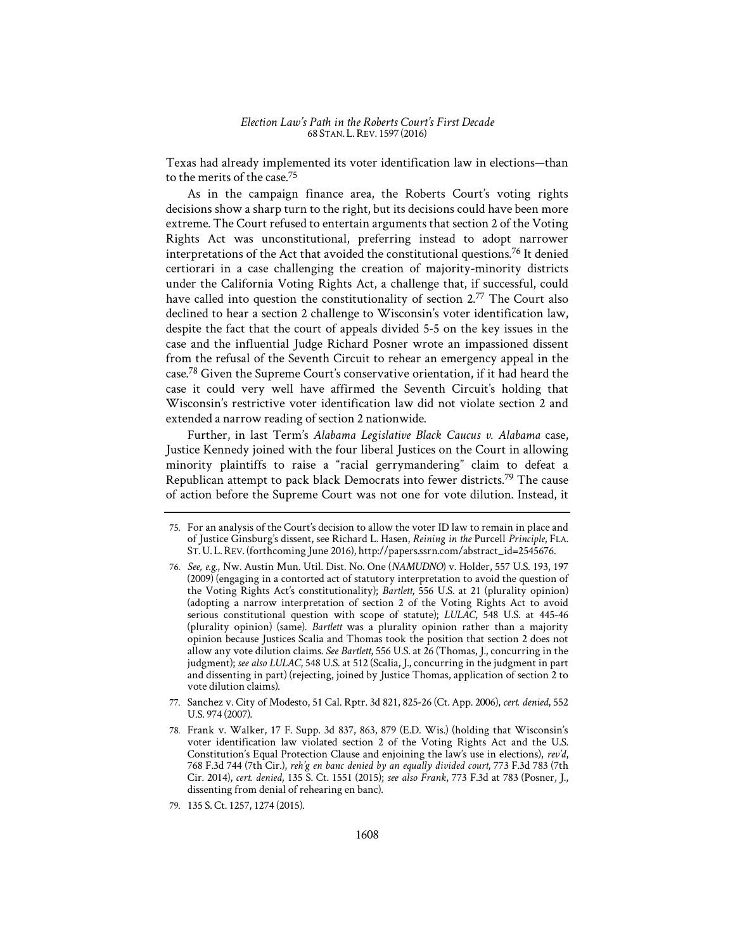Texas had already implemented its voter identification law in elections—than to the merits of the case.75

As in the campaign finance area, the Roberts Court's voting rights decisions show a sharp turn to the right, but its decisions could have been more extreme. The Court refused to entertain arguments that section 2 of the Voting Rights Act was unconstitutional, preferring instead to adopt narrower interpretations of the Act that avoided the constitutional questions.76 It denied certiorari in a case challenging the creation of majority-minority districts under the California Voting Rights Act, a challenge that, if successful, could have called into question the constitutionality of section 2.<sup>77</sup> The Court also declined to hear a section 2 challenge to Wisconsin's voter identification law, despite the fact that the court of appeals divided 5-5 on the key issues in the case and the influential Judge Richard Posner wrote an impassioned dissent from the refusal of the Seventh Circuit to rehear an emergency appeal in the case.78 Given the Supreme Court's conservative orientation, if it had heard the case it could very well have affirmed the Seventh Circuit's holding that Wisconsin's restrictive voter identification law did not violate section 2 and extended a narrow reading of section 2 nationwide.

Further, in last Term's *Alabama Legislative Black Caucus v. Alabama* case, Justice Kennedy joined with the four liberal Justices on the Court in allowing minority plaintiffs to raise a "racial gerrymandering" claim to defeat a Republican attempt to pack black Democrats into fewer districts.<sup>79</sup> The cause of action before the Supreme Court was not one for vote dilution. Instead, it

- 77. Sanchez v. City of Modesto, 51 Cal. Rptr. 3d 821, 825-26 (Ct. App. 2006), *cert. denied*, 552 U.S. 974 (2007).
- 78. Frank v. Walker, 17 F. Supp. 3d 837, 863, 879 (E.D. Wis.) (holding that Wisconsin's voter identification law violated section 2 of the Voting Rights Act and the U.S. Constitution's Equal Protection Clause and enjoining the law's use in elections), *rev'd*, 768 F.3d 744 (7th Cir.), *reh'g en banc denied by an equally divided court*, 773 F.3d 783 (7th Cir. 2014), *cert. denied*, 135 S. Ct. 1551 (2015); *see also Frank*, 773 F.3d at 783 (Posner, J., dissenting from denial of rehearing en banc).

<sup>75.</sup> For an analysis of the Court's decision to allow the voter ID law to remain in place and of Justice Ginsburg's dissent, see Richard L. Hasen, *Reining in the* Purcell *Principle*, FLA. ST.U. L.REV. (forthcoming June 2016), http://papers.ssrn.com/abstract\_id=2545676.

<sup>76.</sup> *See, e.g.*, Nw. Austin Mun. Util. Dist. No. One (*NAMUDNO*) v. Holder, 557 U.S. 193, 197 (2009) (engaging in a contorted act of statutory interpretation to avoid the question of the Voting Rights Act's constitutionality); *Bartlett*, 556 U.S. at 21 (plurality opinion) (adopting a narrow interpretation of section 2 of the Voting Rights Act to avoid serious constitutional question with scope of statute); *LULAC*, 548 U.S. at 445-46 (plurality opinion) (same). *Bartlett* was a plurality opinion rather than a majority opinion because Justices Scalia and Thomas took the position that section 2 does not allow any vote dilution claims. *See Bartlett*, 556 U.S. at 26 (Thomas, J., concurring in the judgment); *see also LULAC*, 548 U.S. at 512 (Scalia, J., concurring in the judgment in part and dissenting in part) (rejecting, joined by Justice Thomas, application of section 2 to vote dilution claims).

<sup>79. 135</sup> S. Ct. 1257, 1274 (2015).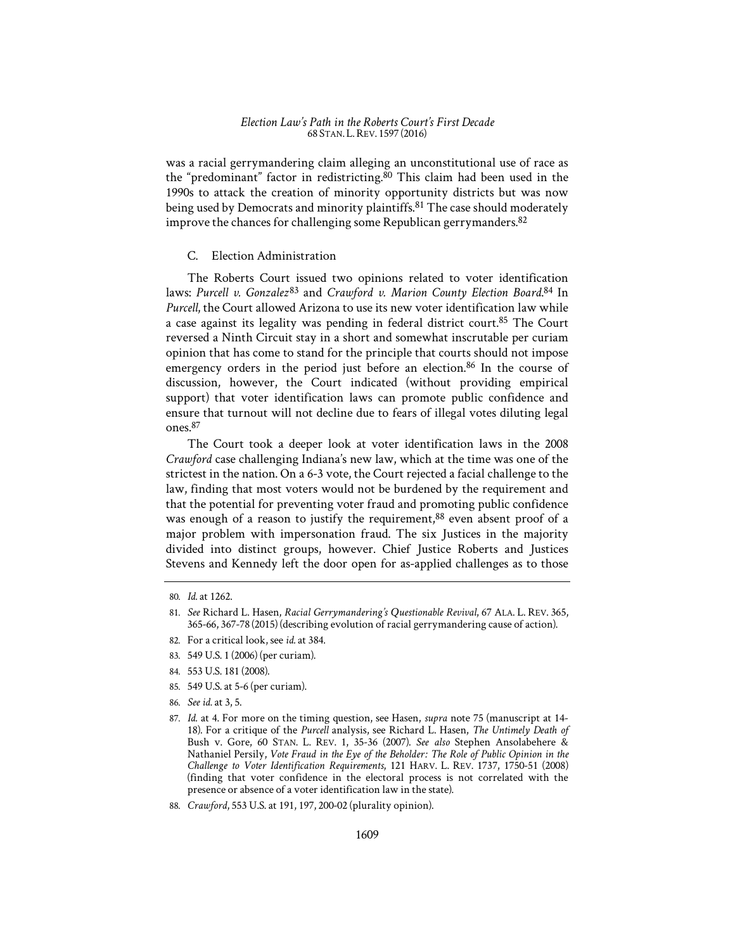was a racial gerrymandering claim alleging an unconstitutional use of race as the "predominant" factor in redistricting.<sup>80</sup> This claim had been used in the 1990s to attack the creation of minority opportunity districts but was now being used by Democrats and minority plaintiffs.<sup>81</sup> The case should moderately improve the chances for challenging some Republican gerrymanders.<sup>82</sup>

## C. Election Administration

The Roberts Court issued two opinions related to voter identification laws: Purcell v. Gonzalez<sup>83</sup> and *Crawford v. Marion County Election Board*.<sup>84</sup> In *Purcell*, the Court allowed Arizona to use its new voter identification law while a case against its legality was pending in federal district court.<sup>85</sup> The Court reversed a Ninth Circuit stay in a short and somewhat inscrutable per curiam opinion that has come to stand for the principle that courts should not impose emergency orders in the period just before an election.<sup>86</sup> In the course of discussion, however, the Court indicated (without providing empirical support) that voter identification laws can promote public confidence and ensure that turnout will not decline due to fears of illegal votes diluting legal ones.87

The Court took a deeper look at voter identification laws in the 2008 *Crawford* case challenging Indiana's new law, which at the time was one of the strictest in the nation. On a 6-3 vote, the Court rejected a facial challenge to the law, finding that most voters would not be burdened by the requirement and that the potential for preventing voter fraud and promoting public confidence was enough of a reason to justify the requirement,  $88$  even absent proof of a major problem with impersonation fraud. The six Justices in the majority divided into distinct groups, however. Chief Justice Roberts and Justices Stevens and Kennedy left the door open for as-applied challenges as to those

- 82. For a critical look, see *id.* at 384.
- 83. 549 U.S. 1 (2006) (per curiam).
- 84. 553 U.S. 181 (2008).
- 85. 549 U.S. at 5-6 (per curiam).
- 86. *See id.* at 3, 5.
- 87. *Id.* at 4. For more on the timing question, see Hasen, *supra* note 75 (manuscript at 14- 18). For a critique of the *Purcell* analysis, see Richard L. Hasen, *The Untimely Death of*  Bush v. Gore, 60 STAN. L. REV. 1, 35-36 (2007). *See also* Stephen Ansolabehere & Nathaniel Persily, *Vote Fraud in the Eye of the Beholder: The Role of Public Opinion in the Challenge to Voter Identification Requirements*, 121 HARV. L. REV. 1737, 1750-51 (2008) (finding that voter confidence in the electoral process is not correlated with the presence or absence of a voter identification law in the state).
- 88. *Crawford*, 553 U.S. at 191, 197, 200-02 (plurality opinion).

<sup>80.</sup> *Id.* at 1262.

<sup>81.</sup> *See* Richard L. Hasen, *Racial Gerrymandering's Questionable Revival*, 67 ALA. L. REV. 365, 365-66, 367-78 (2015) (describing evolution of racial gerrymandering cause of action).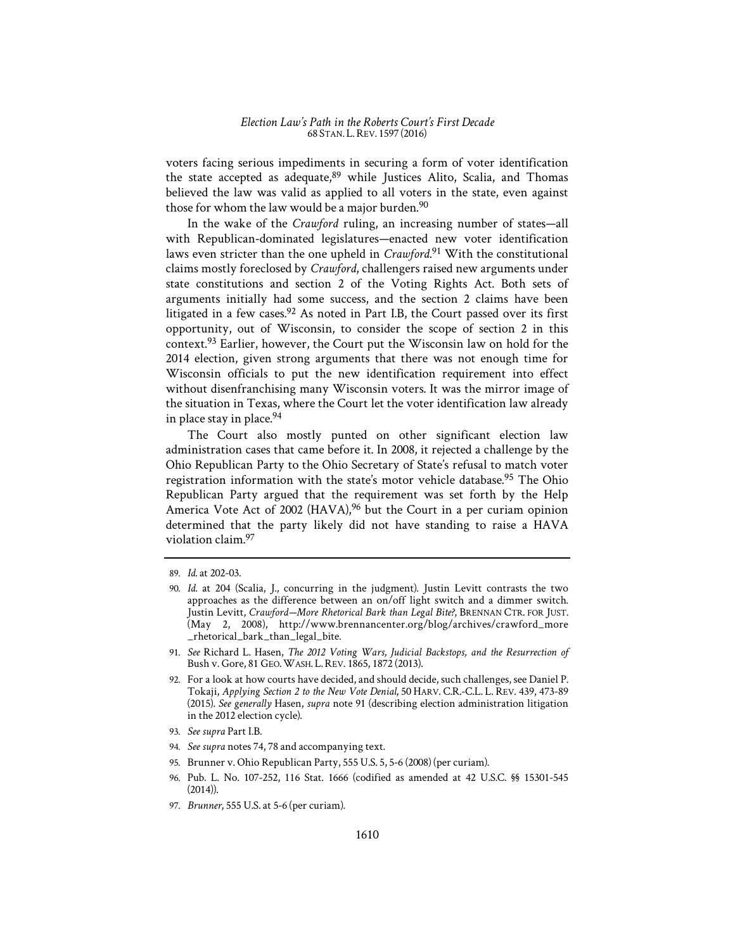voters facing serious impediments in securing a form of voter identification the state accepted as adequate, <sup>89</sup> while Justices Alito, Scalia, and Thomas believed the law was valid as applied to all voters in the state, even against those for whom the law would be a major burden.<sup>90</sup>

In the wake of the *Crawford* ruling, an increasing number of states—all with Republican-dominated legislatures—enacted new voter identification laws even stricter than the one upheld in *Crawford*. 91 With the constitutional claims mostly foreclosed by *Crawford*, challengers raised new arguments under state constitutions and section 2 of the Voting Rights Act. Both sets of arguments initially had some success, and the section 2 claims have been litigated in a few cases.<sup>92</sup> As noted in Part I.B, the Court passed over its first opportunity, out of Wisconsin, to consider the scope of section 2 in this context.93 Earlier, however, the Court put the Wisconsin law on hold for the 2014 election, given strong arguments that there was not enough time for Wisconsin officials to put the new identification requirement into effect without disenfranchising many Wisconsin voters. It was the mirror image of the situation in Texas, where the Court let the voter identification law already in place stay in place.94

The Court also mostly punted on other significant election law administration cases that came before it. In 2008, it rejected a challenge by the Ohio Republican Party to the Ohio Secretary of State's refusal to match voter registration information with the state's motor vehicle database.<sup>95</sup> The Ohio Republican Party argued that the requirement was set forth by the Help America Vote Act of 2002 (HAVA),<sup>96</sup> but the Court in a per curiam opinion determined that the party likely did not have standing to raise a HAVA violation claim.97

- 94. *See supra* notes 74, 78 and accompanying text.
- 95. Brunner v. Ohio Republican Party, 555 U.S. 5, 5-6 (2008) (per curiam).
- 96. Pub. L. No. 107-252, 116 Stat. 1666 (codified as amended at 42 U.S.C. §§ 15301-545 (2014)).
- 97. *Brunner*, 555 U.S. at 5-6 (per curiam).

<sup>89.</sup> *Id.* at 202-03.

<sup>90.</sup> *Id.* at 204 (Scalia, J., concurring in the judgment). Justin Levitt contrasts the two approaches as the difference between an on/off light switch and a dimmer switch. Justin Levitt, *Crawford—More Rhetorical Bark than Legal Bite?*, BRENNAN CTR. FOR JUST. (May 2, 2008), http://www.brennancenter.org/blog/archives/crawford\_more \_rhetorical\_bark\_than\_legal\_bite.

<sup>91.</sup> *See* Richard L. Hasen, *The 2012 Voting Wars, Judicial Backstops, and the Resurrection of*  Bush v. Gore, 81 GEO.WASH. L.REV. 1865, 1872 (2013).

<sup>92.</sup> For a look at how courts have decided, and should decide, such challenges, see Daniel P. Tokaji, *Applying Section 2 to the New Vote Denial*, 50 HARV. C.R.-C.L. L. REV. 439, 473-89 (2015). *See generally* Hasen, *supra* note 91 (describing election administration litigation in the 2012 election cycle).

<sup>93.</sup> *See supra* Part I.B.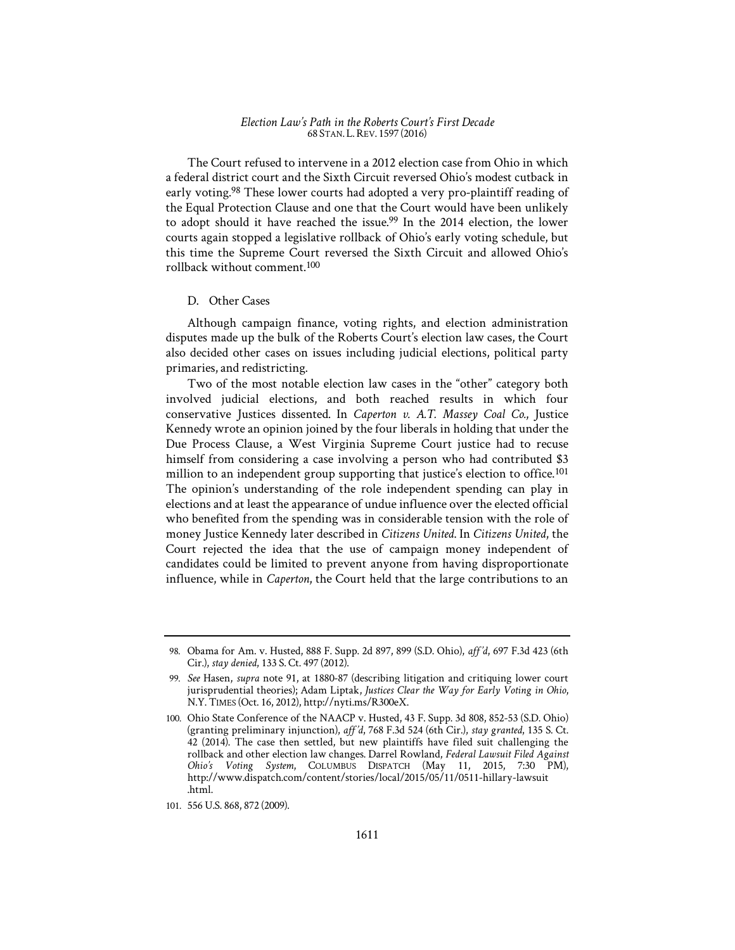The Court refused to intervene in a 2012 election case from Ohio in which a federal district court and the Sixth Circuit reversed Ohio's modest cutback in early voting.<sup>98</sup> These lower courts had adopted a very pro-plaintiff reading of the Equal Protection Clause and one that the Court would have been unlikely to adopt should it have reached the issue.<sup>99</sup> In the 2014 election, the lower courts again stopped a legislative rollback of Ohio's early voting schedule, but this time the Supreme Court reversed the Sixth Circuit and allowed Ohio's rollback without comment.100

#### D. Other Cases

Although campaign finance, voting rights, and election administration disputes made up the bulk of the Roberts Court's election law cases, the Court also decided other cases on issues including judicial elections, political party primaries, and redistricting.

Two of the most notable election law cases in the "other" category both involved judicial elections, and both reached results in which four conservative Justices dissented. In *Caperton v. A.T. Massey Coal Co.*, Justice Kennedy wrote an opinion joined by the four liberals in holding that under the Due Process Clause, a West Virginia Supreme Court justice had to recuse himself from considering a case involving a person who had contributed \$3 million to an independent group supporting that justice's election to office.<sup>101</sup> The opinion's understanding of the role independent spending can play in elections and at least the appearance of undue influence over the elected official who benefited from the spending was in considerable tension with the role of money Justice Kennedy later described in *Citizens United*. In *Citizens United*, the Court rejected the idea that the use of campaign money independent of candidates could be limited to prevent anyone from having disproportionate influence, while in *Caperton*, the Court held that the large contributions to an

<sup>98.</sup> Obama for Am. v. Husted, 888 F. Supp. 2d 897, 899 (S.D. Ohio), *aff*1'*'d*, 697 F.3d 423 (6th Cir.), *stay denied*, 133 S. Ct. 497 (2012).

<sup>99.</sup> *See* Hasen, *supra* note 91, at 1880-87 (describing litigation and critiquing lower court jurisprudential theories); Adam Liptak, *Justices Clear the Way for Early Voting in Ohio*, N.Y. TIMES (Oct. 16, 2012), http://nyti.ms/R300eX.

<sup>100.</sup> Ohio State Conference of the NAACP v. Husted, 43 F. Supp. 3d 808, 852-53 (S.D. Ohio) (granting preliminary injunction), *aff*1'*'d*, 768 F.3d 524 (6th Cir.), *stay granted*, 135 S. Ct. 42 (2014). The case then settled, but new plaintiffs have filed suit challenging the rollback and other election law changes. Darrel Rowland, *Federal Lawsuit Filed Against Ohio's Voting System*, COLUMBUS DISPATCH (May 11, 2015, 7:30 PM), http://www.dispatch.com/content/stories/local/2015/05/11/0511-hillary-lawsuit .html.

<sup>101. 556</sup> U.S. 868, 872 (2009).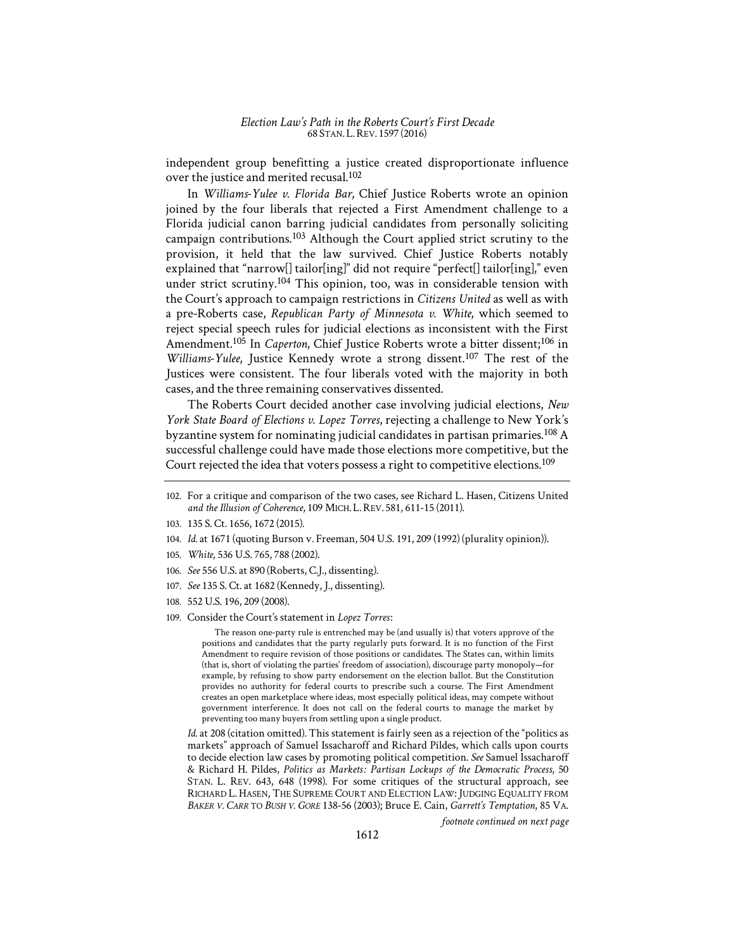independent group benefitting a justice created disproportionate influence over the justice and merited recusal.102

In *Williams-Yulee v. Florida Bar*, Chief Justice Roberts wrote an opinion joined by the four liberals that rejected a First Amendment challenge to a Florida judicial canon barring judicial candidates from personally soliciting campaign contributions.103 Although the Court applied strict scrutiny to the provision, it held that the law survived. Chief Justice Roberts notably explained that "narrow<sup>[]</sup> tailor[ing]" did not require "perfect<sup>[]</sup> tailor[ing]," even under strict scrutiny.<sup>104</sup> This opinion, too, was in considerable tension with the Court's approach to campaign restrictions in *Citizens United* as well as with a pre-Roberts case, *Republican Party of Minnesota v. White*, which seemed to reject special speech rules for judicial elections as inconsistent with the First Amendment.<sup>105</sup> In *Caperton*, Chief Justice Roberts wrote a bitter dissent;<sup>106</sup> in *Williams-Yulee*, Justice Kennedy wrote a strong dissent.107 The rest of the Justices were consistent. The four liberals voted with the majority in both cases, and the three remaining conservatives dissented.

The Roberts Court decided another case involving judicial elections, *New York State Board of Elections v. Lopez Torres*, rejecting a challenge to New York's byzantine system for nominating judicial candidates in partisan primaries.108 A successful challenge could have made those elections more competitive, but the Court rejected the idea that voters possess a right to competitive elections.<sup>109</sup>

- 103. 135 S. Ct. 1656, 1672 (2015).
- 104. *Id.* at 1671 (quoting Burson v. Freeman, 504 U.S. 191, 209 (1992) (plurality opinion)).
- 105. *White*, 536 U.S. 765, 788 (2002).
- 106. *See* 556 U.S. at 890 (Roberts, C.J., dissenting).
- 107. *See* 135 S. Ct. at 1682 (Kennedy, J., dissenting).
- 108. 552 U.S. 196, 209 (2008).
- 109. Consider the Court's statement in *Lopez Torres*:

The reason one-party rule is entrenched may be (and usually is) that voters approve of the positions and candidates that the party regularly puts forward. It is no function of the First Amendment to require revision of those positions or candidates. The States can, within limits (that is, short of violating the parties' freedom of association), discourage party monopoly—for example, by refusing to show party endorsement on the election ballot. But the Constitution provides no authority for federal courts to prescribe such a course. The First Amendment creates an open marketplace where ideas, most especially political ideas, may compete without government interference. It does not call on the federal courts to manage the market by preventing too many buyers from settling upon a single product.

*Id.* at 208 (citation omitted). This statement is fairly seen as a rejection of the "politics as markets" approach of Samuel Issacharoff and Richard Pildes, which calls upon courts to decide election law cases by promoting political competition. *See* Samuel Issacharoff & Richard H. Pildes, *Politics as Markets*1'*: Partisan Lockups of the Democratic Process*, 50 STAN. L. REV. 643, 648 (1998). For some critiques of the structural approach, see RICHARD L. HASEN, THE SUPREME COURT AND ELECTION LAW:JUDGING EQUALITY FROM *BAKER V. CARR* TO *BUSH V. GORE* 138-56 (2003); Bruce E. Cain, *Garrett's Temptation*, 85 VA.

*footnote continued on next page* 

<sup>102.</sup> For a critique and comparison of the two cases, see Richard L. Hasen, Citizens United *and the Illusion of Coherence*, 109 MICH. L.REV. 581, 611-15 (2011).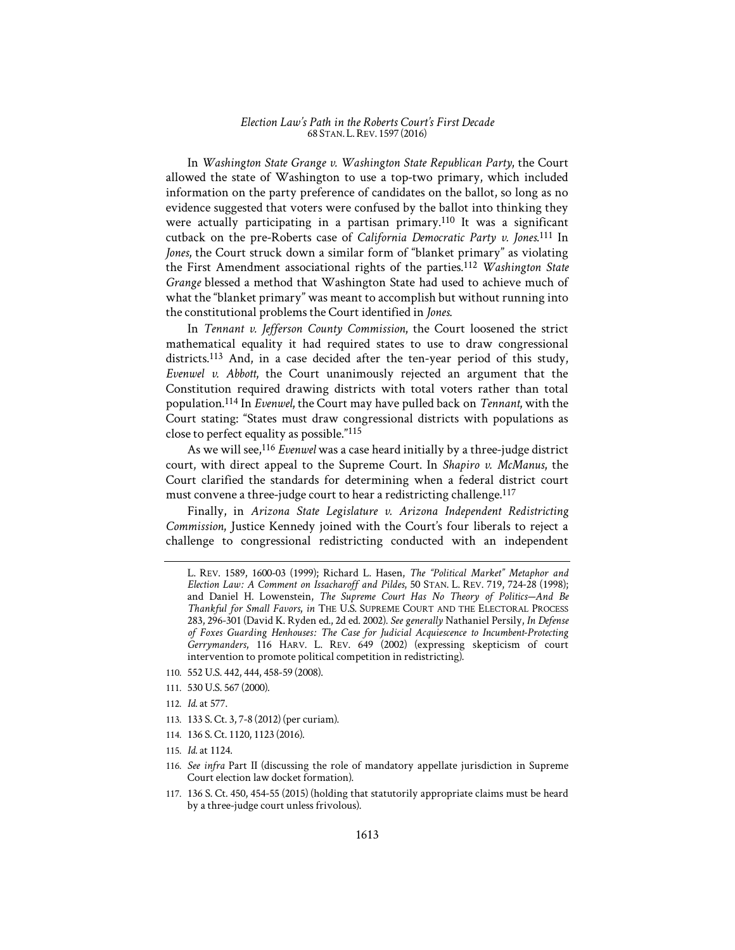In *Washington State Grange v. Washington State Republican Party*, the Court allowed the state of Washington to use a top-two primary, which included information on the party preference of candidates on the ballot, so long as no evidence suggested that voters were confused by the ballot into thinking they were actually participating in a partisan primary.<sup>110</sup> It was a significant cutback on the pre-Roberts case of *California Democratic Party v. Jones*. 111 In *Jones*, the Court struck down a similar form of "blanket primary" as violating the First Amendment associational rights of the parties.<sup>112</sup> *Washington State Grange* blessed a method that Washington State had used to achieve much of what the "blanket primary" was meant to accomplish but without running into the constitutional problems the Court identified in *Jones*.

In *Tennant v. Jefferson County Commission*, the Court loosened the strict mathematical equality it had required states to use to draw congressional districts.<sup>113</sup> And, in a case decided after the ten-year period of this study, *Evenwel v. Abbott*, the Court unanimously rejected an argument that the Constitution required drawing districts with total voters rather than total population.114 In *Evenwel*, the Court may have pulled back on *Tennant*, with the Court stating: "States must draw congressional districts with populations as close to perfect equality as possible."115

As we will see,<sup>116</sup> *Evenwel* was a case heard initially by a three-judge district court, with direct appeal to the Supreme Court. In *Shapiro v. McManus*, the Court clarified the standards for determining when a federal district court must convene a three-judge court to hear a redistricting challenge.<sup>117</sup>

Finally, in *Arizona State Legislature v. Arizona Independent Redistricting Commission*, Justice Kennedy joined with the Court's four liberals to reject a challenge to congressional redistricting conducted with an independent

- 110. 552 U.S. 442, 444, 458-59 (2008).
- 111. 530 U.S. 567 (2000).
- 112. *Id.* at 577.
- 113. 133 S. Ct. 3, 7-8 (2012) (per curiam).
- 114. 136 S. Ct. 1120, 1123 (2016).
- 115. *Id.* at 1124.
- 116. *See infra* Part II (discussing the role of mandatory appellate jurisdiction in Supreme Court election law docket formation).
- 117. 136 S. Ct. 450, 454-55 (2015) (holding that statutorily appropriate claims must be heard by a three-judge court unless frivolous).

L. REV. 1589, 1600-03 (1999); Richard L. Hasen, *The "Political Market" Metaphor and Election Law*1'*: A Comment on Issacharoff and Pildes*, 50 STAN. L. REV. 719, 724-28 (1998); and Daniel H. Lowenstein, *The Supreme Court Has No Theory of Politics—And Be Thankful for Small Favors*, *in* THE U.S. SUPREME COURT AND THE ELECTORAL PROCESS 283, 296-301 (David K. Ryden ed., 2d ed. 2002). *See generally* Nathaniel Persily, *In Defense of Foxes Guarding Henhouses*1'*: The Case for Judicial Acquiescence to Incumbent-Protecting Gerrymanders*, 116 HARV. L. REV. 649 (2002) (expressing skepticism of court intervention to promote political competition in redistricting).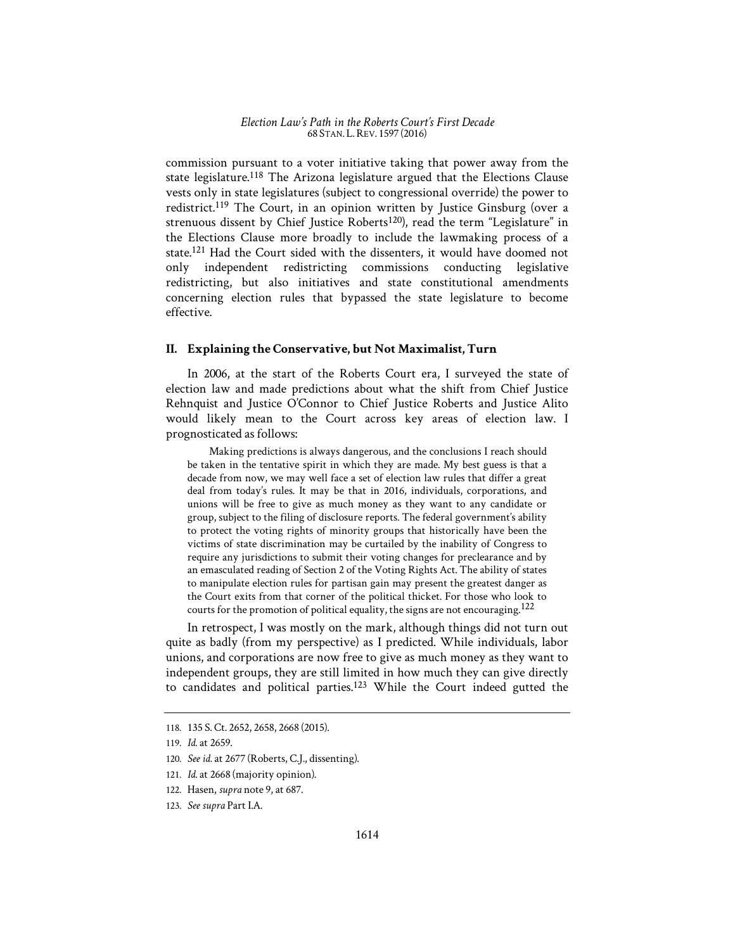commission pursuant to a voter initiative taking that power away from the state legislature.118 The Arizona legislature argued that the Elections Clause vests only in state legislatures (subject to congressional override) the power to redistrict.<sup>119</sup> The Court, in an opinion written by Justice Ginsburg (over a strenuous dissent by Chief Justice Roberts<sup>120</sup>), read the term "Legislature" in the Elections Clause more broadly to include the lawmaking process of a state.121 Had the Court sided with the dissenters, it would have doomed not only independent redistricting commissions conducting legislative redistricting, but also initiatives and state constitutional amendments concerning election rules that bypassed the state legislature to become effective.

## **II. Explaining the Conservative, but Not Maximalist, Turn**

In 2006, at the start of the Roberts Court era, I surveyed the state of election law and made predictions about what the shift from Chief Justice Rehnquist and Justice O'Connor to Chief Justice Roberts and Justice Alito would likely mean to the Court across key areas of election law. I prognosticated as follows:

Making predictions is always dangerous, and the conclusions I reach should be taken in the tentative spirit in which they are made. My best guess is that a decade from now, we may well face a set of election law rules that differ a great deal from today's rules. It may be that in 2016, individuals, corporations, and unions will be free to give as much money as they want to any candidate or group, subject to the filing of disclosure reports. The federal government's ability to protect the voting rights of minority groups that historically have been the victims of state discrimination may be curtailed by the inability of Congress to require any jurisdictions to submit their voting changes for preclearance and by an emasculated reading of Section 2 of the Voting Rights Act. The ability of states to manipulate election rules for partisan gain may present the greatest danger as the Court exits from that corner of the political thicket. For those who look to courts for the promotion of political equality, the signs are not encouraging.<sup>122</sup>

In retrospect, I was mostly on the mark, although things did not turn out quite as badly (from my perspective) as I predicted. While individuals, labor unions, and corporations are now free to give as much money as they want to independent groups, they are still limited in how much they can give directly to candidates and political parties.123 While the Court indeed gutted the

<sup>118. 135</sup> S. Ct. 2652, 2658, 2668 (2015).

<sup>119.</sup> *Id.* at 2659.

<sup>120.</sup> *See id.* at 2677 (Roberts, C.J., dissenting).

<sup>121.</sup> *Id.* at 2668 (majority opinion).

<sup>122.</sup> Hasen, *supra* note 9, at 687.

<sup>123.</sup> *See supra* Part I.A.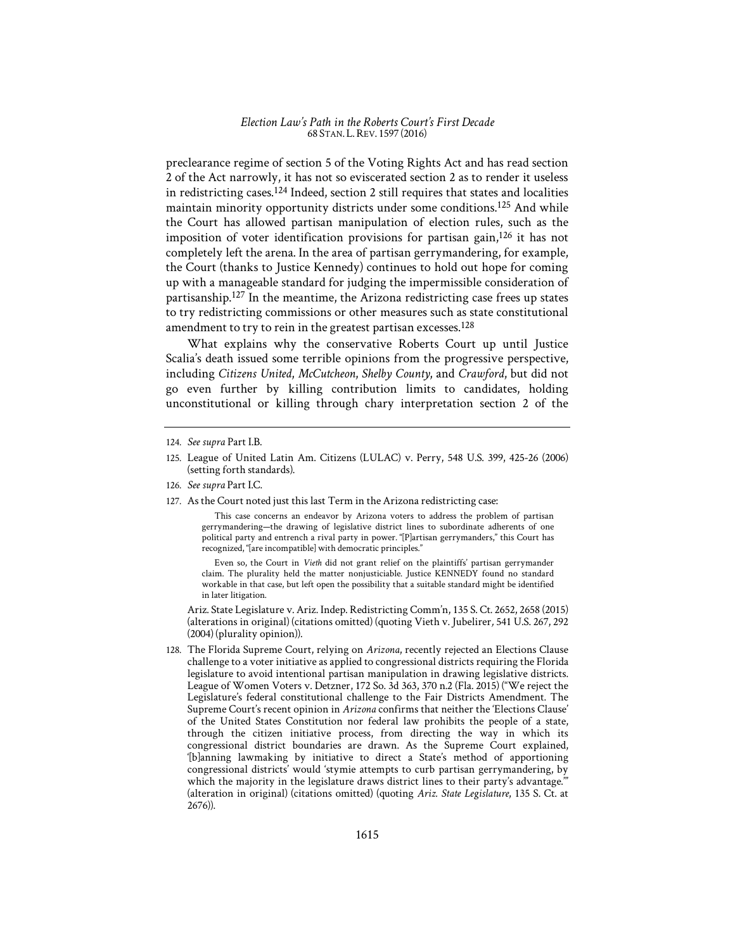preclearance regime of section 5 of the Voting Rights Act and has read section 2 of the Act narrowly, it has not so eviscerated section 2 as to render it useless in redistricting cases.<sup>124</sup> Indeed, section 2 still requires that states and localities maintain minority opportunity districts under some conditions.125 And while the Court has allowed partisan manipulation of election rules, such as the imposition of voter identification provisions for partisan gain,126 it has not completely left the arena. In the area of partisan gerrymandering, for example, the Court (thanks to Justice Kennedy) continues to hold out hope for coming up with a manageable standard for judging the impermissible consideration of partisanship.127 In the meantime, the Arizona redistricting case frees up states to try redistricting commissions or other measures such as state constitutional amendment to try to rein in the greatest partisan excesses.<sup>128</sup>

What explains why the conservative Roberts Court up until Justice Scalia's death issued some terrible opinions from the progressive perspective, including *Citizens United*, *McCutcheon*, *Shelby County*, and *Crawford*, but did not go even further by killing contribution limits to candidates, holding unconstitutional or killing through chary interpretation section 2 of the

127. As the Court noted just this last Term in the Arizona redistricting case:

This case concerns an endeavor by Arizona voters to address the problem of partisan gerrymandering—the drawing of legislative district lines to subordinate adherents of one political party and entrench a rival party in power. "[P]artisan gerrymanders," this Court has recognized, "[are incompatible] with democratic principles."

Even so, the Court in *Vieth* did not grant relief on the plaintiffs' partisan gerrymander claim. The plurality held the matter nonjusticiable. Justice KENNEDY found no standard workable in that case, but left open the possibility that a suitable standard might be identified in later litigation.

Ariz. State Legislature v. Ariz. Indep. Redistricting Comm'n, 135 S. Ct. 2652, 2658 (2015) (alterations in original) (citations omitted) (quoting Vieth v. Jubelirer*,* 541 U.S. 267, 292 (2004) (plurality opinion)).

128. The Florida Supreme Court, relying on *Arizona*, recently rejected an Elections Clause challenge to a voter initiative as applied to congressional districts requiring the Florida legislature to avoid intentional partisan manipulation in drawing legislative districts. League of Women Voters v. Detzner, 172 So. 3d 363, 370 n.2 (Fla. 2015) ("We reject the Legislature's federal constitutional challenge to the Fair Districts Amendment. The Supreme Court's recent opinion in *Arizona* confirms that neither the 'Elections Clause' of the United States Constitution nor federal law prohibits the people of a state, through the citizen initiative process, from directing the way in which its congressional district boundaries are drawn. As the Supreme Court explained, '[b]anning lawmaking by initiative to direct a State's method of apportioning congressional districts' would 'stymie attempts to curb partisan gerrymandering, by which the majority in the legislature draws district lines to their party's advantage." (alteration in original) (citations omitted) (quoting *Ariz. State Legislature*, 135 S. Ct. at 2676)).

<sup>124.</sup> *See supra* Part I.B.

<sup>125.</sup> League of United Latin Am. Citizens (LULAC) v. Perry, 548 U.S. 399, 425-26 (2006) (setting forth standards).

<sup>126.</sup> *See supra* Part I.C.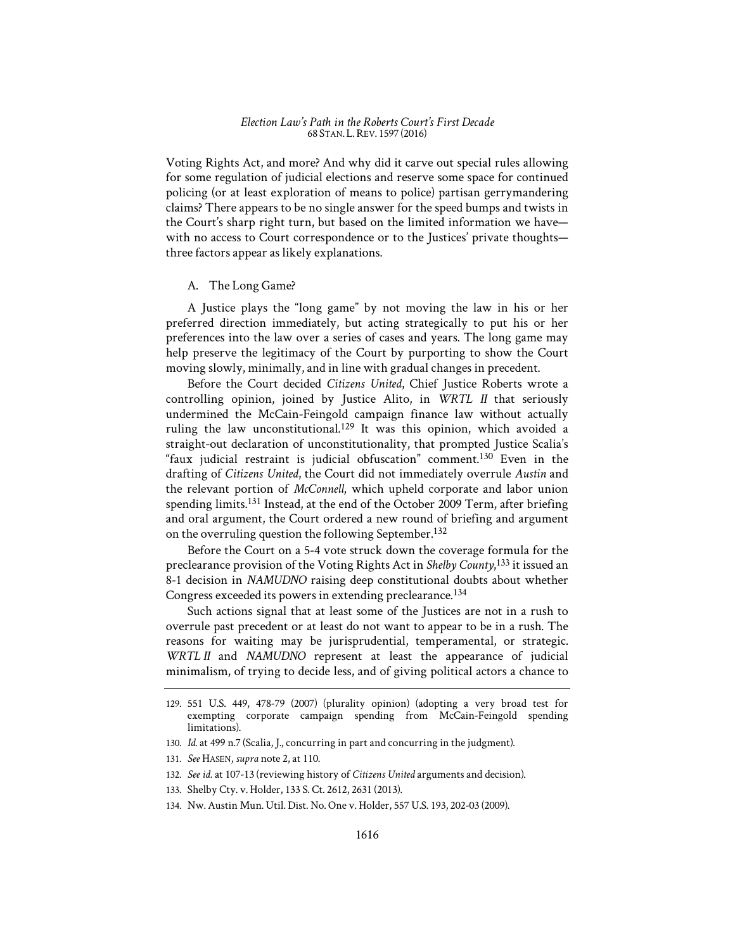Voting Rights Act, and more? And why did it carve out special rules allowing for some regulation of judicial elections and reserve some space for continued policing (or at least exploration of means to police) partisan gerrymandering claims? There appears to be no single answer for the speed bumps and twists in the Court's sharp right turn, but based on the limited information we have with no access to Court correspondence or to the Justices' private thoughts three factors appear as likely explanations.

### A. The Long Game?

A Justice plays the "long game" by not moving the law in his or her preferred direction immediately, but acting strategically to put his or her preferences into the law over a series of cases and years. The long game may help preserve the legitimacy of the Court by purporting to show the Court moving slowly, minimally, and in line with gradual changes in precedent.

Before the Court decided *Citizens United*, Chief Justice Roberts wrote a controlling opinion, joined by Justice Alito, in *WRTL II* that seriously undermined the McCain-Feingold campaign finance law without actually ruling the law unconstitutional.129 It was this opinion, which avoided a straight-out declaration of unconstitutionality, that prompted Justice Scalia's "faux judicial restraint is judicial obfuscation" comment.<sup>130</sup> Even in the drafting of *Citizens United*, the Court did not immediately overrule *Austin* and the relevant portion of *McConnell*, which upheld corporate and labor union spending limits.131 Instead, at the end of the October 2009 Term, after briefing and oral argument, the Court ordered a new round of briefing and argument on the overruling question the following September.<sup>132</sup>

Before the Court on a 5-4 vote struck down the coverage formula for the preclearance provision of the Voting Rights Act in *Shelby County*, 133 it issued an 8-1 decision in *NAMUDNO* raising deep constitutional doubts about whether Congress exceeded its powers in extending preclearance.<sup>134</sup>

Such actions signal that at least some of the Justices are not in a rush to overrule past precedent or at least do not want to appear to be in a rush. The reasons for waiting may be jurisprudential, temperamental, or strategic. *WRTL II* and *NAMUDNO* represent at least the appearance of judicial minimalism, of trying to decide less, and of giving political actors a chance to

134. Nw. Austin Mun. Util. Dist. No. One v. Holder, 557 U.S. 193, 202-03 (2009).

<sup>129. 551</sup> U.S. 449, 478-79 (2007) (plurality opinion) (adopting a very broad test for exempting corporate campaign spending from McCain-Feingold spending limitations).

<sup>130.</sup> *Id.* at 499 n.7 (Scalia, J., concurring in part and concurring in the judgment).

<sup>131.</sup> *See* HASEN, *supra* note 2, at 110.

<sup>132.</sup> *See id.* at 107-13 (reviewing history of *Citizens United* arguments and decision).

<sup>133.</sup> Shelby Cty. v. Holder, 133 S. Ct. 2612, 2631 (2013).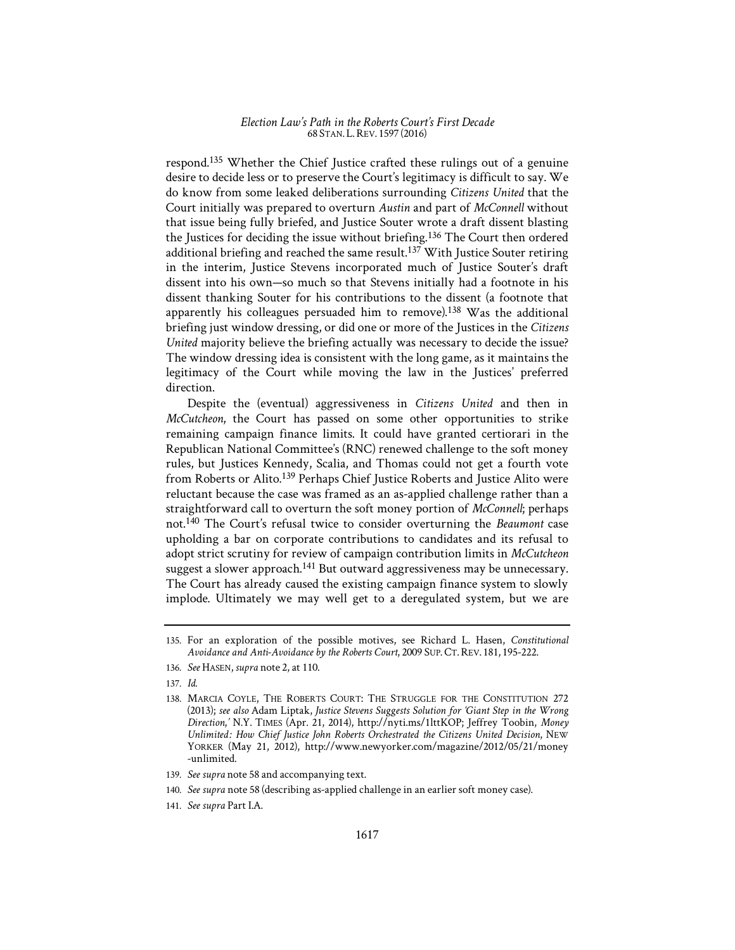respond.135 Whether the Chief Justice crafted these rulings out of a genuine desire to decide less or to preserve the Court's legitimacy is difficult to say. We do know from some leaked deliberations surrounding *Citizens United* that the Court initially was prepared to overturn *Austin* and part of *McConnell* without that issue being fully briefed, and Justice Souter wrote a draft dissent blasting the Justices for deciding the issue without briefing.136 The Court then ordered additional briefing and reached the same result.137 With Justice Souter retiring in the interim, Justice Stevens incorporated much of Justice Souter's draft dissent into his own—so much so that Stevens initially had a footnote in his dissent thanking Souter for his contributions to the dissent (a footnote that apparently his colleagues persuaded him to remove).138 Was the additional briefing just window dressing, or did one or more of the Justices in the *Citizens United* majority believe the briefing actually was necessary to decide the issue? The window dressing idea is consistent with the long game, as it maintains the legitimacy of the Court while moving the law in the Justices' preferred direction.

Despite the (eventual) aggressiveness in *Citizens United* and then in *McCutcheon*, the Court has passed on some other opportunities to strike remaining campaign finance limits. It could have granted certiorari in the Republican National Committee's (RNC) renewed challenge to the soft money rules, but Justices Kennedy, Scalia, and Thomas could not get a fourth vote from Roberts or Alito.<sup>139</sup> Perhaps Chief Justice Roberts and Justice Alito were reluctant because the case was framed as an as-applied challenge rather than a straightforward call to overturn the soft money portion of *McConnell*; perhaps not.140 The Court's refusal twice to consider overturning the *Beaumont* case upholding a bar on corporate contributions to candidates and its refusal to adopt strict scrutiny for review of campaign contribution limits in *McCutcheon* suggest a slower approach.<sup>141</sup> But outward aggressiveness may be unnecessary. The Court has already caused the existing campaign finance system to slowly implode. Ultimately we may well get to a deregulated system, but we are

- 139. *See supra* note 58 and accompanying text.
- 140. *See supra* note 58 (describing as-applied challenge in an earlier soft money case).
- 141. *See supra* Part I.A.

<sup>135.</sup> For an exploration of the possible motives, see Richard L. Hasen, *Constitutional Avoidance and Anti-Avoidance by the Roberts Court*, 2009 SUP. CT.REV. 181, 195-222.

<sup>136.</sup> *See* HASEN,*supra* note 2, at 110.

<sup>137.</sup> *Id.* 

<sup>138.</sup> MARCIA COYLE, THE ROBERTS COURT: THE STRUGGLE FOR THE CONSTITUTION 272 (2013); *see also* Adam Liptak, *Justice Stevens Suggests Solution for 'Giant Step in the Wrong Direction*,*'* N.Y. TIMES (Apr. 21, 2014), http://nyti.ms/1lttKOP; Jeffrey Toobin, *Money Unlimited*1'*: How Chief Justice John Roberts Orchestrated the Citizens United Decision*, NEW YORKER (May 21, 2012), http://www.newyorker.com/magazine/2012/05/21/money -unlimited.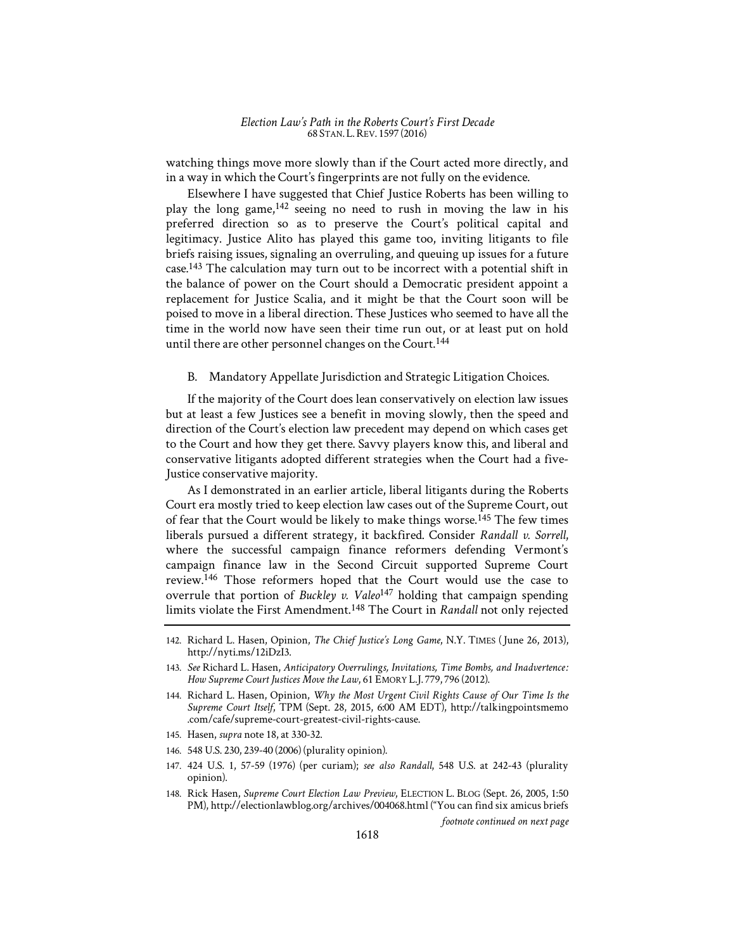watching things move more slowly than if the Court acted more directly, and in a way in which the Court's fingerprints are not fully on the evidence.

Elsewhere I have suggested that Chief Justice Roberts has been willing to play the long game,142 seeing no need to rush in moving the law in his preferred direction so as to preserve the Court's political capital and legitimacy. Justice Alito has played this game too, inviting litigants to file briefs raising issues, signaling an overruling, and queuing up issues for a future case.143 The calculation may turn out to be incorrect with a potential shift in the balance of power on the Court should a Democratic president appoint a replacement for Justice Scalia, and it might be that the Court soon will be poised to move in a liberal direction. These Justices who seemed to have all the time in the world now have seen their time run out, or at least put on hold until there are other personnel changes on the Court.<sup>144</sup>

B. Mandatory Appellate Jurisdiction and Strategic Litigation Choices.

If the majority of the Court does lean conservatively on election law issues but at least a few Justices see a benefit in moving slowly, then the speed and direction of the Court's election law precedent may depend on which cases get to the Court and how they get there. Savvy players know this, and liberal and conservative litigants adopted different strategies when the Court had a five-Justice conservative majority.

As I demonstrated in an earlier article, liberal litigants during the Roberts Court era mostly tried to keep election law cases out of the Supreme Court, out of fear that the Court would be likely to make things worse.<sup>145</sup> The few times liberals pursued a different strategy, it backfired. Consider *Randall v. Sorrell*, where the successful campaign finance reformers defending Vermont's campaign finance law in the Second Circuit supported Supreme Court review.146 Those reformers hoped that the Court would use the case to overrule that portion of *Buckley v. Valeo*147 holding that campaign spending limits violate the First Amendment.148 The Court in *Randall* not only rejected

- 145. Hasen, *supra* note 18, at 330-32.
- 146. 548 U.S. 230, 239-40 (2006) (plurality opinion).
- 147. 424 U.S. 1, 57-59 (1976) (per curiam); *see also Randall*, 548 U.S. at 242-43 (plurality opinion).
- 148. Rick Hasen, *Supreme Court Election Law Preview*, ELECTION L. BLOG (Sept. 26, 2005, 1:50 PM), http://electionlawblog.org/archives/004068.html ("You can find six amicus briefs

*footnote continued on next page* 

<sup>142.</sup> Richard L. Hasen, Opinion, *The Chief Justice's Long Game*, N.Y. TIMES (June 26, 2013), http://nyti.ms/12iDzI3.

<sup>143.</sup> See Richard L. Hasen, *Anticipatory Overrulings, Invitations, Time Bombs, and Inadvertence: How Supreme Court Justices Move the Law*, 61 EMORY L.J. 779, 796 (2012).

<sup>144.</sup> Richard L. Hasen, Opinion, *Why the Most Urgent Civil Rights Cause of Our Time Is the Supreme Court Itself*, TPM (Sept. 28, 2015, 6:00 AM EDT), http://talkingpointsmemo .com/cafe/supreme-court-greatest-civil-rights-cause.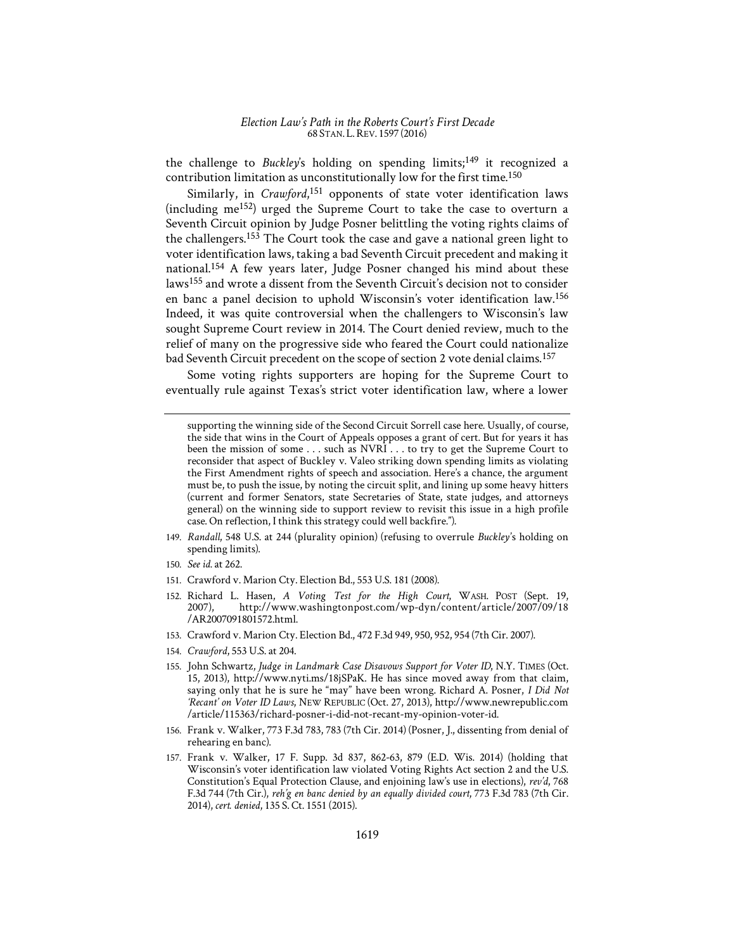the challenge to *Buckley's* holding on spending limits;<sup>149</sup> it recognized a contribution limitation as unconstitutionally low for the first time.150

Similarly, in *Crawford*, 151 opponents of state voter identification laws (including me152) urged the Supreme Court to take the case to overturn a Seventh Circuit opinion by Judge Posner belittling the voting rights claims of the challengers.153 The Court took the case and gave a national green light to voter identification laws, taking a bad Seventh Circuit precedent and making it national.154 A few years later, Judge Posner changed his mind about these laws155 and wrote a dissent from the Seventh Circuit's decision not to consider en banc a panel decision to uphold Wisconsin's voter identification law.156 Indeed, it was quite controversial when the challengers to Wisconsin's law sought Supreme Court review in 2014. The Court denied review, much to the relief of many on the progressive side who feared the Court could nationalize bad Seventh Circuit precedent on the scope of section 2 vote denial claims.157

Some voting rights supporters are hoping for the Supreme Court to eventually rule against Texas's strict voter identification law, where a lower

- 149. *Randall*, 548 U.S. at 244 (plurality opinion) (refusing to overrule *Buckley's* holding on spending limits).
- 150. *See id.* at 262.
- 151. Crawford v. Marion Cty. Election Bd., 553 U.S. 181 (2008).
- 152. Richard L. Hasen, *A Voting Test for the High Court*, WASH. POST (Sept. 19, 2007), http://www.washingtonpost.com/wp-dyn/content/article/2007/09/18 /AR2007091801572.html.
- 153. Crawford v. Marion Cty. Election Bd., 472 F.3d 949, 950, 952, 954 (7th Cir. 2007).
- 154. *Crawford*, 553 U.S. at 204.
- 155. John Schwartz, *Judge in Landmark Case Disavows Support for Voter ID*, N.Y. TIMES (Oct. 15, 2013), http://www.nyti.ms/18jSPaK. He has since moved away from that claim, saying only that he is sure he "may" have been wrong. Richard A. Posner, *I Did Not 'Recant' on Voter ID Laws*, NEW REPUBLIC (Oct. 27, 2013), http://www.newrepublic.com /article/115363/richard-posner-i-did-not-recant-my-opinion-voter-id.
- 156. Frank v. Walker, 773 F.3d 783, 783 (7th Cir. 2014) (Posner, J., dissenting from denial of rehearing en banc).
- 157. Frank v. Walker, 17 F. Supp. 3d 837, 862-63, 879 (E.D. Wis. 2014) (holding that Wisconsin's voter identification law violated Voting Rights Act section 2 and the U.S. Constitution's Equal Protection Clause, and enjoining law's use in elections), *rev'd*, 768 F.3d 744 (7th Cir.), *reh'g en banc denied by an equally divided court*, 773 F.3d 783 (7th Cir. 2014), *cert. denied*, 135 S. Ct. 1551 (2015).

supporting the winning side of the Second Circuit Sorrell case here. Usually, of course, the side that wins in the Court of Appeals opposes a grant of cert. But for years it has been the mission of some . . . such as NVRI . . . to try to get the Supreme Court to reconsider that aspect of Buckley v. Valeo striking down spending limits as violating the First Amendment rights of speech and association. Here's a chance, the argument must be, to push the issue, by noting the circuit split, and lining up some heavy hitters (current and former Senators, state Secretaries of State, state judges, and attorneys general) on the winning side to support review to revisit this issue in a high profile case. On reflection, I think this strategy could well backfire.").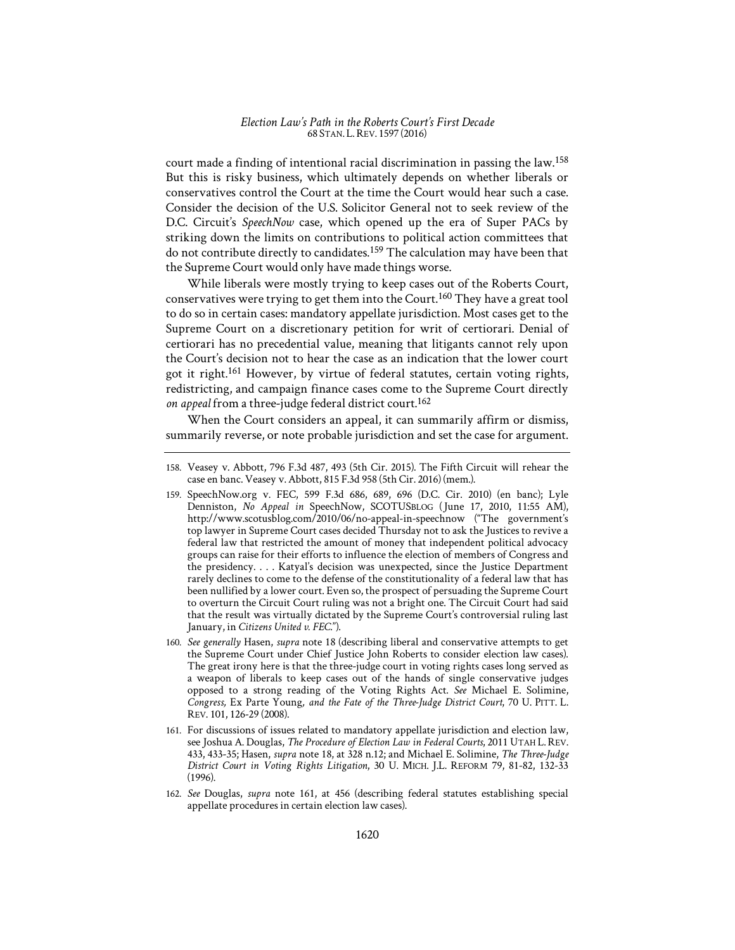court made a finding of intentional racial discrimination in passing the law.158 But this is risky business, which ultimately depends on whether liberals or conservatives control the Court at the time the Court would hear such a case. Consider the decision of the U.S. Solicitor General not to seek review of the D.C. Circuit's *SpeechNow* case, which opened up the era of Super PACs by striking down the limits on contributions to political action committees that do not contribute directly to candidates.159 The calculation may have been that the Supreme Court would only have made things worse.

While liberals were mostly trying to keep cases out of the Roberts Court, conservatives were trying to get them into the Court.160 They have a great tool to do so in certain cases: mandatory appellate jurisdiction. Most cases get to the Supreme Court on a discretionary petition for writ of certiorari. Denial of certiorari has no precedential value, meaning that litigants cannot rely upon the Court's decision not to hear the case as an indication that the lower court got it right.161 However, by virtue of federal statutes, certain voting rights, redistricting, and campaign finance cases come to the Supreme Court directly *on appeal* from a three-judge federal district court.<sup>162</sup>

When the Court considers an appeal, it can summarily affirm or dismiss, summarily reverse, or note probable jurisdiction and set the case for argument.

- 161. For discussions of issues related to mandatory appellate jurisdiction and election law, see Joshua A. Douglas, *The Procedure of Election Law in Federal Courts*, 2011 UTAH L. REV. 433, 433-35; Hasen, *supra* note 18, at 328 n.12; and Michael E. Solimine, *The Three-Judge District Court in Voting Rights Litigation*, 30 U. MICH. J.L. REFORM 79, 81-82, 132-33 (1996).
- 162. *See* Douglas, *supra* note 161, at 456 (describing federal statutes establishing special appellate procedures in certain election law cases).

<sup>158.</sup> Veasey v. Abbott, 796 F.3d 487, 493 (5th Cir. 2015). The Fifth Circuit will rehear the case en banc. Veasey v. Abbott, 815 F.3d 958 (5th Cir. 2016) (mem.).

<sup>159.</sup> SpeechNow.org v. FEC, 599 F.3d 686, 689, 696 (D.C. Cir. 2010) (en banc); Lyle Denniston, *No Appeal in SpeechNow, SCOTUSBLOG* (June 17, 2010, 11:55 AM), http://www.scotusblog.com/2010/06/no-appeal-in-speechnow ("The government's top lawyer in Supreme Court cases decided Thursday not to ask the Justices to revive a federal law that restricted the amount of money that independent political advocacy groups can raise for their efforts to influence the election of members of Congress and the presidency. . . . Katyal's decision was unexpected, since the Justice Department rarely declines to come to the defense of the constitutionality of a federal law that has been nullified by a lower court. Even so, the prospect of persuading the Supreme Court to overturn the Circuit Court ruling was not a bright one. The Circuit Court had said that the result was virtually dictated by the Supreme Court's controversial ruling last January, in *Citizens United v. FEC*.").

<sup>160.</sup> *See generally* Hasen, *supra* note 18 (describing liberal and conservative attempts to get the Supreme Court under Chief Justice John Roberts to consider election law cases). The great irony here is that the three-judge court in voting rights cases long served as a weapon of liberals to keep cases out of the hands of single conservative judges opposed to a strong reading of the Voting Rights Act. *See* Michael E. Solimine, *Congress,* Ex Parte Young*, and the Fate of the Three-Judge District Court*, 70 U. PITT. L. REV. 101, 126-29 (2008).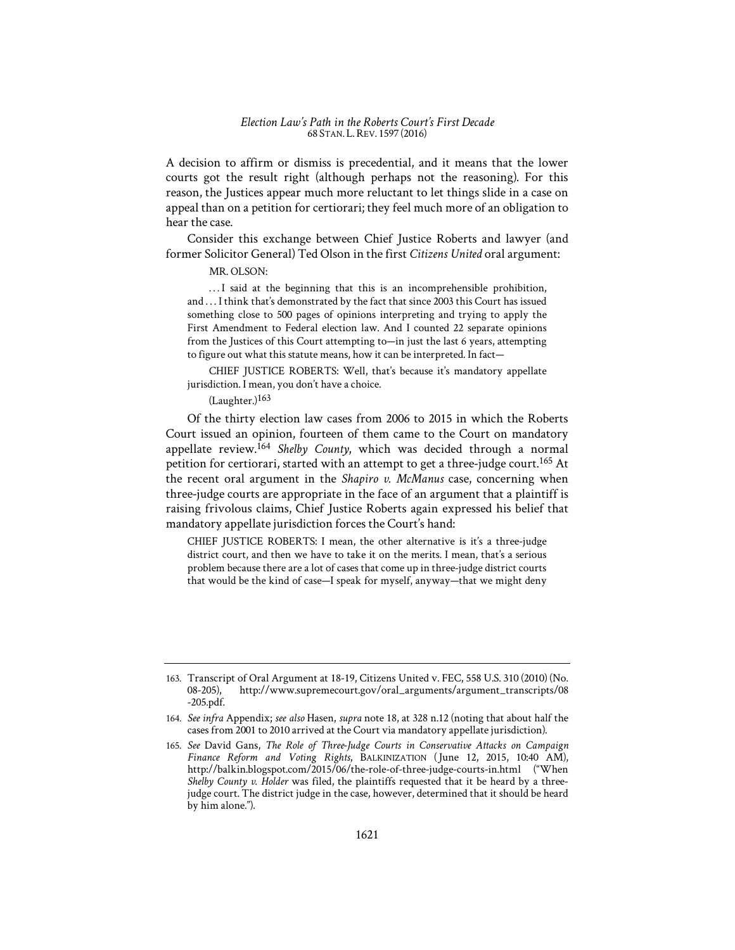A decision to affirm or dismiss is precedential, and it means that the lower courts got the result right (although perhaps not the reasoning). For this reason, the Justices appear much more reluctant to let things slide in a case on appeal than on a petition for certiorari; they feel much more of an obligation to hear the case.

Consider this exchange between Chief Justice Roberts and lawyer (and former Solicitor General) Ted Olson in the first *Citizens United* oral argument:

MR. OLSON:

... I said at the beginning that this is an incomprehensible prohibition, and . . . I think that's demonstrated by the fact that since 2003 this Court has issued something close to 500 pages of opinions interpreting and trying to apply the First Amendment to Federal election law. And I counted 22 separate opinions from the Justices of this Court attempting to—in just the last 6 years, attempting to figure out what this statute means, how it can be interpreted. In fact—

CHIEF JUSTICE ROBERTS: Well, that's because it's mandatory appellate jurisdiction. I mean, you don't have a choice.

 $(Laughter.)$ <sup>163</sup>

Of the thirty election law cases from 2006 to 2015 in which the Roberts Court issued an opinion, fourteen of them came to the Court on mandatory appellate review.<sup>164</sup> *Shelby County*, which was decided through a normal petition for certiorari, started with an attempt to get a three-judge court.<sup>165</sup> At the recent oral argument in the *Shapiro v. McManus* case, concerning when three-judge courts are appropriate in the face of an argument that a plaintiff is raising frivolous claims, Chief Justice Roberts again expressed his belief that mandatory appellate jurisdiction forces the Court's hand:

CHIEF JUSTICE ROBERTS: I mean, the other alternative is it's a three-judge district court, and then we have to take it on the merits. I mean, that's a serious problem because there are a lot of cases that come up in three-judge district courts that would be the kind of case—I speak for myself, anyway—that we might deny

<sup>163.</sup> Transcript of Oral Argument at 18-19, Citizens United v. FEC, 558 U.S. 310 (2010) (No. 08-205). http://www.supremecourt.gov/oral\_arguments/argument\_transcripts/08 08-205), http://www.supremecourt.gov/oral\_arguments/argument\_transcripts/08 -205.pdf.

<sup>164.</sup> *See infra* Appendix; *see also* Hasen, *supra* note 18, at 328 n.12 (noting that about half the cases from 2001 to 2010 arrived at the Court via mandatory appellate jurisdiction).

<sup>165.</sup> *See* David Gans, *The Role of Three-Judge Courts in Conservative Attacks on Campaign*  Finance Reform and Voting Rights, BALKINIZATION (June 12, 2015, 10:40 AM), http://balkin.blogspot.com/2015/06/the-role-of-three-judge-courts-in.html ("When *Shelby County v. Holder* was filed, the plaintiffs requested that it be heard by a threejudge court. The district judge in the case, however, determined that it should be heard by him alone.").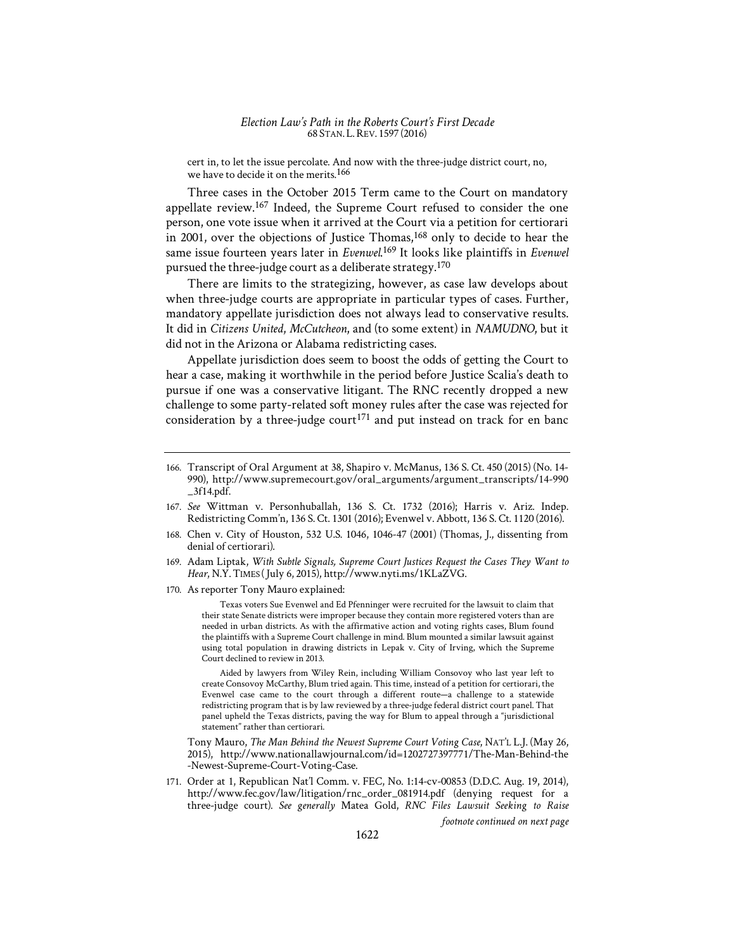cert in, to let the issue percolate. And now with the three-judge district court, no, we have to decide it on the merits.<sup>166</sup>

Three cases in the October 2015 Term came to the Court on mandatory appellate review.<sup>167</sup> Indeed, the Supreme Court refused to consider the one person, one vote issue when it arrived at the Court via a petition for certiorari in 2001, over the objections of Justice Thomas,<sup>168</sup> only to decide to hear the same issue fourteen years later in *Evenwel*. 169 It looks like plaintiffs in *Evenwel*  pursued the three-judge court as a deliberate strategy.<sup>170</sup>

There are limits to the strategizing, however, as case law develops about when three-judge courts are appropriate in particular types of cases. Further, mandatory appellate jurisdiction does not always lead to conservative results. It did in *Citizens United*, *McCutcheon*, and (to some extent) in *NAMUDNO*, but it did not in the Arizona or Alabama redistricting cases.

Appellate jurisdiction does seem to boost the odds of getting the Court to hear a case, making it worthwhile in the period before Justice Scalia's death to pursue if one was a conservative litigant. The RNC recently dropped a new challenge to some party-related soft money rules after the case was rejected for consideration by a three-judge court<sup>171</sup> and put instead on track for en banc

- 168. Chen v. City of Houston, 532 U.S. 1046, 1046-47 (2001) (Thomas, J., dissenting from denial of certiorari).
- 169. Adam Liptak, *With Subtle Signals, Supreme Court Justices Request the Cases They Want to*  Hear, N.Y. TIMES (July 6, 2015), http://www.nyti.ms/1KLaZVG.
- 170. As reporter Tony Mauro explained:

Texas voters Sue Evenwel and Ed Pfenninger were recruited for the lawsuit to claim that their state Senate districts were improper because they contain more registered voters than are needed in urban districts. As with the affirmative action and voting rights cases, Blum found the plaintiffs with a Supreme Court challenge in mind. Blum mounted a similar lawsuit against using total population in drawing districts in Lepak v. City of Irving, which the Supreme Court declined to review in 2013.

Aided by lawyers from Wiley Rein, including William Consovoy who last year left to create Consovoy McCarthy, Blum tried again. This time, instead of a petition for certiorari, the Evenwel case came to the court through a different route—a challenge to a statewide redistricting program that is by law reviewed by a three-judge federal district court panel. That panel upheld the Texas districts, paving the way for Blum to appeal through a "jurisdictional statement" rather than certiorari.

Tony Mauro, *The Man Behind the Newest Supreme Court Voting Case*, NAT'L L.J. (May 26, 2015), http://www.nationallawjournal.com/id=1202727397771/The-Man-Behind-the -Newest-Supreme-Court-Voting-Case.

171. Order at 1, Republican Nat'l Comm. v. FEC, No. 1:14-cv-00853 (D.D.C. Aug. 19, 2014), http://www.fec.gov/law/litigation/rnc\_order\_081914.pdf (denying request for a three-judge court). *See generally* Matea Gold, *RNC Files Lawsuit Seeking to Raise* 

*footnote continued on next page* 

<sup>166.</sup> Transcript of Oral Argument at 38, Shapiro v. McManus, 136 S. Ct. 450 (2015) (No. 14- 990), http://www.supremecourt.gov/oral\_arguments/argument\_transcripts/14-990  $\_3f14.pdf$ .

<sup>167.</sup> *See* Wittman v. Personhuballah, 136 S. Ct. 1732 (2016); Harris v. Ariz. Indep. Redistricting Comm'n, 136 S. Ct. 1301 (2016); Evenwel v. Abbott, 136 S. Ct. 1120 (2016).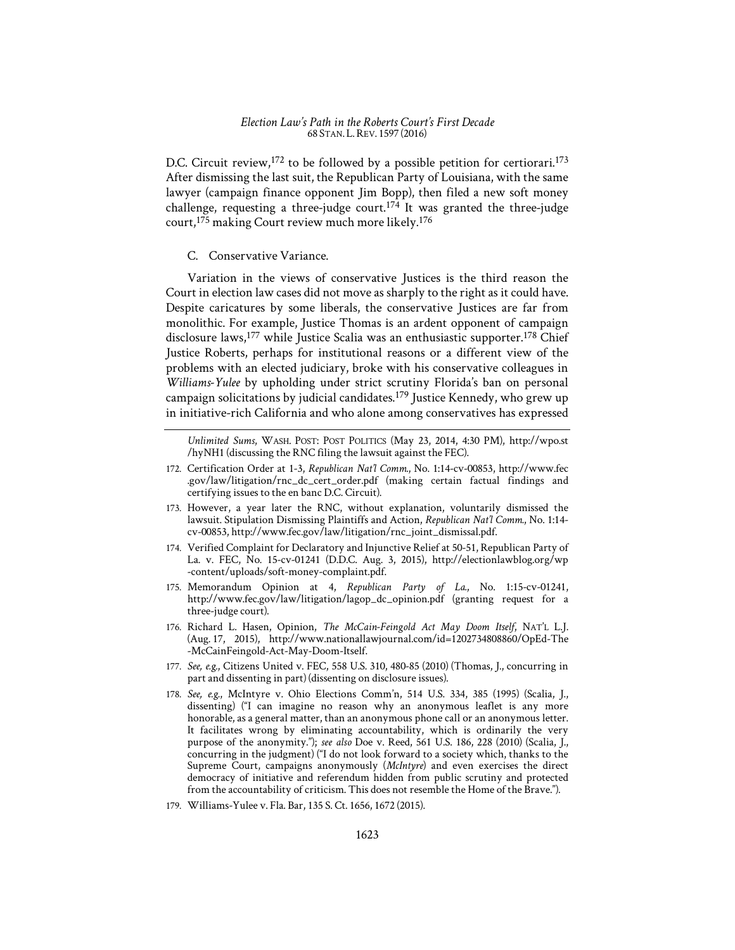D.C. Circuit review,<sup>172</sup> to be followed by a possible petition for certiorari.<sup>173</sup> After dismissing the last suit, the Republican Party of Louisiana, with the same lawyer (campaign finance opponent Jim Bopp), then filed a new soft money challenge, requesting a three-judge court.<sup>174</sup> It was granted the three-judge court,175 making Court review much more likely.176

## C. Conservative Variance.

Variation in the views of conservative Justices is the third reason the Court in election law cases did not move as sharply to the right as it could have. Despite caricatures by some liberals, the conservative Justices are far from monolithic. For example, Justice Thomas is an ardent opponent of campaign disclosure laws,<sup>177</sup> while Justice Scalia was an enthusiastic supporter.<sup>178</sup> Chief Justice Roberts, perhaps for institutional reasons or a different view of the problems with an elected judiciary, broke with his conservative colleagues in *Williams-Yulee* by upholding under strict scrutiny Florida's ban on personal campaign solicitations by judicial candidates.<sup>179</sup> Justice Kennedy, who grew up in initiative-rich California and who alone among conservatives has expressed

*Unlimited Sums*, WASH. POST: POST POLITICS (May 23, 2014, 4:30 PM), http://wpo.st /hyNH1 (discussing the RNC filing the lawsuit against the FEC).

- 172. Certification Order at 1-3, *Republican Nat'l Comm.*, No. 1:14-cv-00853, http://www.fec .gov/law/litigation/rnc\_dc\_cert\_order.pdf (making certain factual findings and certifying issues to the en banc D.C. Circuit).
- 173. However, a year later the RNC, without explanation, voluntarily dismissed the lawsuit. Stipulation Dismissing Plaintiffs and Action, *Republican Nat'l Comm.*, No. 1:14 cv-00853, http://www.fec.gov/law/litigation/rnc\_joint\_dismissal.pdf.
- 174. Verified Complaint for Declaratory and Injunctive Relief at 50-51, Republican Party of La. v. FEC, No. 15-cv-01241 (D.D.C. Aug. 3, 2015), http://electionlawblog.org/wp -content/uploads/soft-money-complaint.pdf.
- 175. Memorandum Opinion at 4, *Republican Party of La.*, No. 1:15-cv-01241, http://www.fec.gov/law/litigation/lagop\_dc\_opinion.pdf (granting request for a three-judge court).
- 176. Richard L. Hasen, Opinion, *The McCain-Feingold Act May Doom Itself*, NAT'L L.J. (Aug. 17, 2015), http://www.nationallawjournal.com/id=1202734808860/OpEd-The -McCainFeingold-Act-May-Doom-Itself.
- 177. *See, e.g.*, Citizens United v. FEC, 558 U.S. 310, 480-85 (2010) (Thomas, J., concurring in part and dissenting in part) (dissenting on disclosure issues).
- 178. *See, e.g.*, McIntyre v. Ohio Elections Comm'n, 514 U.S. 334, 385 (1995) (Scalia, J., dissenting) ("I can imagine no reason why an anonymous leaflet is any more honorable, as a general matter, than an anonymous phone call or an anonymous letter. It facilitates wrong by eliminating accountability, which is ordinarily the very purpose of the anonymity."); *see also* Doe v. Reed, 561 U.S. 186, 228 (2010) (Scalia, J., concurring in the judgment) ("I do not look forward to a society which, thanks to the Supreme Court, campaigns anonymously (*McIntyre*) and even exercises the direct democracy of initiative and referendum hidden from public scrutiny and protected from the accountability of criticism. This does not resemble the Home of the Brave.").
- 179. Williams-Yulee v. Fla. Bar, 135 S. Ct. 1656, 1672 (2015).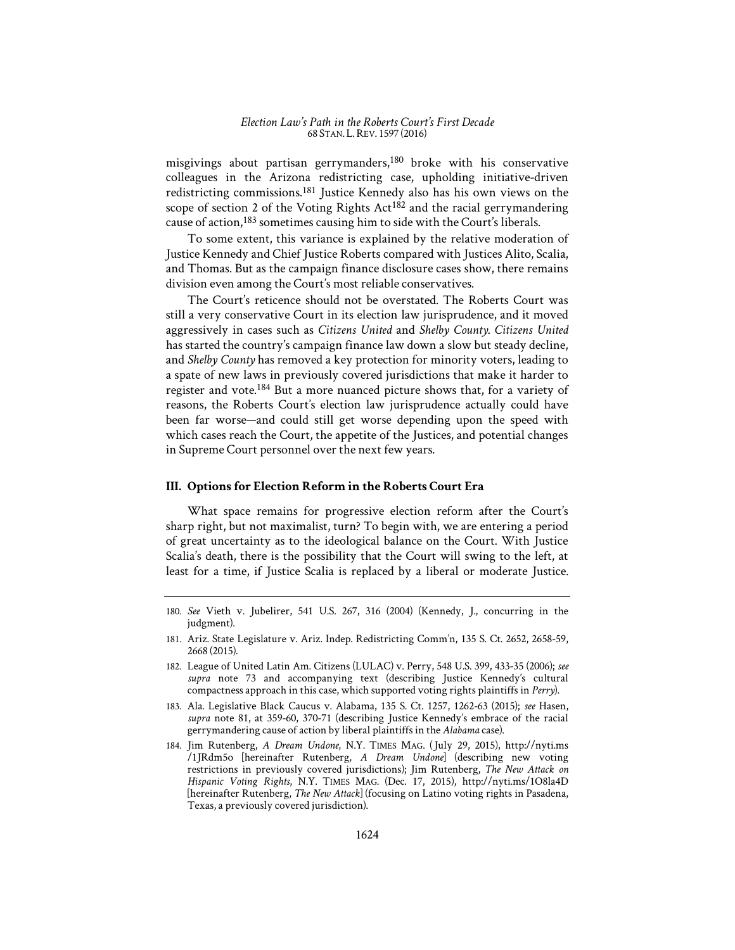misgivings about partisan gerrymanders,180 broke with his conservative colleagues in the Arizona redistricting case, upholding initiative-driven redistricting commissions.181 Justice Kennedy also has his own views on the scope of section 2 of the Voting Rights Act<sup>182</sup> and the racial gerrymandering cause of action,<sup>183</sup> sometimes causing him to side with the Court's liberals.

To some extent, this variance is explained by the relative moderation of Justice Kennedy and Chief Justice Roberts compared with Justices Alito, Scalia, and Thomas. But as the campaign finance disclosure cases show, there remains division even among the Court's most reliable conservatives.

The Court's reticence should not be overstated. The Roberts Court was still a very conservative Court in its election law jurisprudence, and it moved aggressively in cases such as *Citizens United* and *Shelby County*. *Citizens United* has started the country's campaign finance law down a slow but steady decline, and *Shelby County* has removed a key protection for minority voters, leading to a spate of new laws in previously covered jurisdictions that make it harder to register and vote.<sup>184</sup> But a more nuanced picture shows that, for a variety of reasons, the Roberts Court's election law jurisprudence actually could have been far worse—and could still get worse depending upon the speed with which cases reach the Court, the appetite of the Justices, and potential changes in Supreme Court personnel over the next few years.

#### **III. Options for Election Reform in the Roberts Court Era**

What space remains for progressive election reform after the Court's sharp right, but not maximalist, turn? To begin with, we are entering a period of great uncertainty as to the ideological balance on the Court. With Justice Scalia's death, there is the possibility that the Court will swing to the left, at least for a time, if Justice Scalia is replaced by a liberal or moderate Justice.

<sup>180.</sup> *See* Vieth v. Jubelirer, 541 U.S. 267, 316 (2004) (Kennedy, J., concurring in the judgment).

<sup>181.</sup> Ariz. State Legislature v. Ariz. Indep. Redistricting Comm'n, 135 S. Ct. 2652, 2658-59, 2668 (2015).

<sup>182.</sup> League of United Latin Am. Citizens (LULAC) v. Perry, 548 U.S. 399, 433-35 (2006); *see supra* note 73 and accompanying text (describing Justice Kennedy's cultural compactness approach in this case, which supported voting rights plaintiffs in *Perry*).

<sup>183.</sup> Ala. Legislative Black Caucus v. Alabama, 135 S. Ct. 1257, 1262-63 (2015); *see* Hasen, *supra* note 81, at 359-60, 370-71 (describing Justice Kennedy's embrace of the racial gerrymandering cause of action by liberal plaintiffs in the *Alabama* case).

<sup>184.</sup> Jim Rutenberg, *A Dream Undone*, N.Y. TIMES MAG. (July 29, 2015), http://nyti.ms /1JRdm5o [hereinafter Rutenberg, *A Dream Undone*] (describing new voting restrictions in previously covered jurisdictions); Jim Rutenberg, *The New Attack on Hispanic Voting Rights*, N.Y. TIMES MAG. (Dec. 17, 2015), http://nyti.ms/1O8la4D [hereinafter Rutenberg, *The New Attack*] (focusing on Latino voting rights in Pasadena, Texas, a previously covered jurisdiction).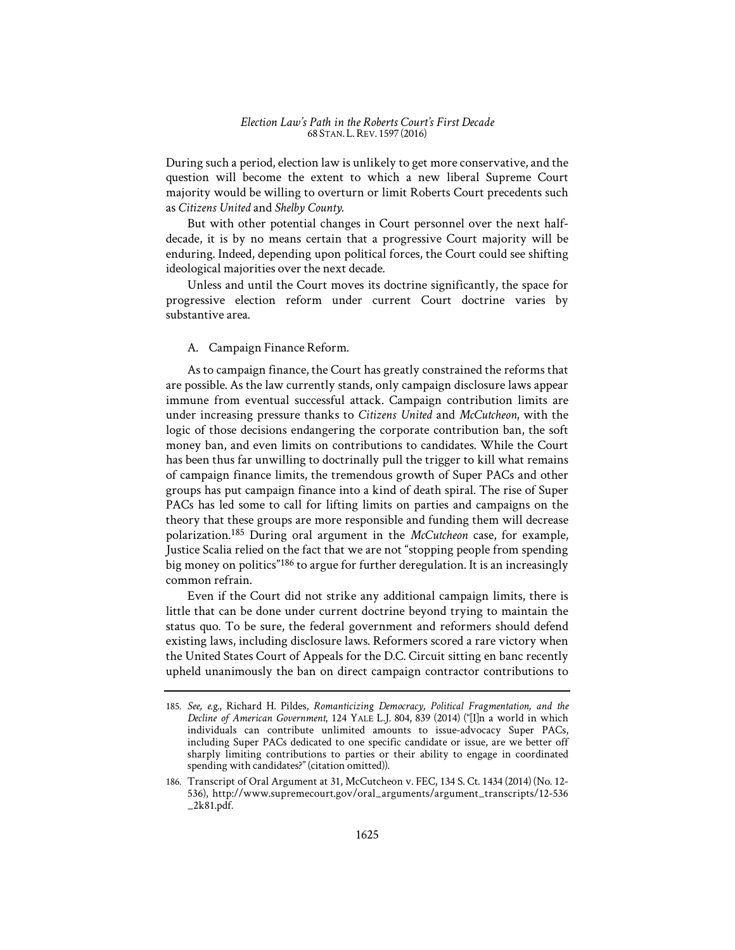During such a period, election law is unlikely to get more conservative, and the question will become the extent to which a new liberal Supreme Court majority would be willing to overturn or limit Roberts Court precedents such as *Citizens United* and *Shelby County.*

But with other potential changes in Court personnel over the next halfdecade, it is by no means certain that a progressive Court majority will be enduring. Indeed, depending upon political forces, the Court could see shifting ideological majorities over the next decade.

Unless and until the Court moves its doctrine significantly, the space for progressive election reform under current Court doctrine varies by substantive area.

## A. Campaign Finance Reform.

As to campaign finance, the Court has greatly constrained the reforms that are possible. As the law currently stands, only campaign disclosure laws appear immune from eventual successful attack. Campaign contribution limits are under increasing pressure thanks to *Citizens United* and *McCutcheon*, with the logic of those decisions endangering the corporate contribution ban, the soft money ban, and even limits on contributions to candidates. While the Court has been thus far unwilling to doctrinally pull the trigger to kill what remains of campaign finance limits, the tremendous growth of Super PACs and other groups has put campaign finance into a kind of death spiral. The rise of Super PACs has led some to call for lifting limits on parties and campaigns on the theory that these groups are more responsible and funding them will decrease polarization.185 During oral argument in the *McCutcheon* case, for example, Justice Scalia relied on the fact that we are not "stopping people from spending big money on politics"<sup>186</sup> to argue for further deregulation. It is an increasingly common refrain.

Even if the Court did not strike any additional campaign limits, there is little that can be done under current doctrine beyond trying to maintain the status quo. To be sure, the federal government and reformers should defend existing laws, including disclosure laws. Reformers scored a rare victory when the United States Court of Appeals for the D.C. Circuit sitting en banc recently upheld unanimously the ban on direct campaign contractor contributions to

<sup>185.</sup> *See, e.g.*, Richard H. Pildes, *Romanticizing Democracy, Political Fragmentation, and the Decline of American Government*, 124 YALE L.J. 804, 839 (2014) ("[I]n a world in which individuals can contribute unlimited amounts to issue-advocacy Super PACs, including Super PACs dedicated to one specific candidate or issue, are we better off sharply limiting contributions to parties or their ability to engage in coordinated spending with candidates?" (citation omitted)).

<sup>186.</sup> Transcript of Oral Argument at 31, McCutcheon v. FEC, 134 S. Ct. 1434 (2014) (No. 12- 536), http://www.supremecourt.gov/oral\_arguments/argument\_transcripts/12-536 \_2k81.pdf.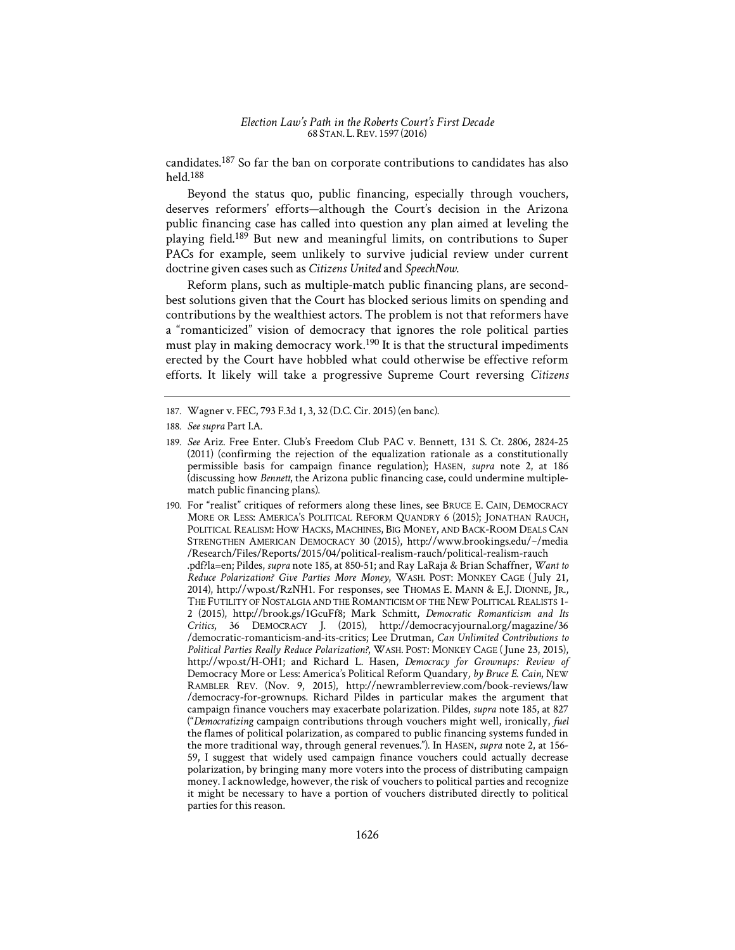candidates.187 So far the ban on corporate contributions to candidates has also held.188

Beyond the status quo, public financing, especially through vouchers, deserves reformers' efforts—although the Court's decision in the Arizona public financing case has called into question any plan aimed at leveling the playing field.189 But new and meaningful limits, on contributions to Super PACs for example, seem unlikely to survive judicial review under current doctrine given cases such as *Citizens United* and *SpeechNow*.

Reform plans, such as multiple-match public financing plans, are secondbest solutions given that the Court has blocked serious limits on spending and contributions by the wealthiest actors. The problem is not that reformers have a "romanticized" vision of democracy that ignores the role political parties must play in making democracy work.<sup>190</sup> It is that the structural impediments erected by the Court have hobbled what could otherwise be effective reform efforts. It likely will take a progressive Supreme Court reversing *Citizens* 

<sup>187.</sup> Wagner v. FEC, 793 F.3d 1, 3, 32 (D.C. Cir. 2015) (en banc).

<sup>188.</sup> *See supra* Part I.A.

<sup>189.</sup> *See* Ariz. Free Enter. Club's Freedom Club PAC v. Bennett, 131 S. Ct. 2806, 2824-25 (2011) (confirming the rejection of the equalization rationale as a constitutionally permissible basis for campaign finance regulation); HASEN, *supra* note 2, at 186 (discussing how *Bennett*, the Arizona public financing case, could undermine multiplematch public financing plans).

<sup>190.</sup> For "realist" critiques of reformers along these lines, see BRUCE E. CAIN, DEMOCRACY MORE OR LESS: AMERICA'S POLITICAL REFORM QUANDRY 6 (2015); JONATHAN RAUCH, POLITICAL REALISM: HOW HACKS, MACHINES, BIG MONEY, AND BACK-ROOM DEALS CAN STRENGTHEN AMERICAN DEMOCRACY 30 (2015), http://www.brookings.edu/~/media /Research/Files/Reports/2015/04/political-realism-rauch/political-realism-rauch .pdf?la=en; Pildes, *supra* note 185, at 850-51; and Ray LaRaja & Brian Schaffner, *Want to Reduce Polarization? Give Parties More Money*, WASH. POST: MONKEY CAGE (July 21, 2014), http://wpo.st/RzNH1. For responses, see THOMAS E. MANN & E.J. DIONNE, JR., THE FUTILITY OF NOSTALGIA AND THE ROMANTICISM OF THE NEW POLITICAL REALISTS 1- 2 (2015), http://brook.gs/1GcuFf8; Mark Schmitt, *Democratic Romanticism and Its Critics*, 36 DEMOCRACY J. (2015), http://democracyjournal.org/magazine/36 /democratic-romanticism-and-its-critics; Lee Drutman, *Can Unlimited Contributions to Political Parties Really Reduce Polarization?*, WASH. POST: MONKEY CAGE (June 23, 2015), http://wpo.st/H-OH1; and Richard L. Hasen, *Democracy for Grownups: Review of* Democracy More or Less: America's Political Reform Quandary*, by Bruce E. Cain*, NEW RAMBLER REV. (Nov. 9, 2015), http://newramblerreview.com/book-reviews/law /democracy-for-grownups. Richard Pildes in particular makes the argument that campaign finance vouchers may exacerbate polarization. Pildes, *supra* note 185, at 827 ("*Democratizing* campaign contributions through vouchers might well, ironically, *fuel* the flames of political polarization, as compared to public financing systems funded in the more traditional way, through general revenues."). In HASEN, *supra* note 2, at 156- 59, I suggest that widely used campaign finance vouchers could actually decrease polarization, by bringing many more voters into the process of distributing campaign money. I acknowledge, however, the risk of vouchers to political parties and recognize it might be necessary to have a portion of vouchers distributed directly to political parties for this reason.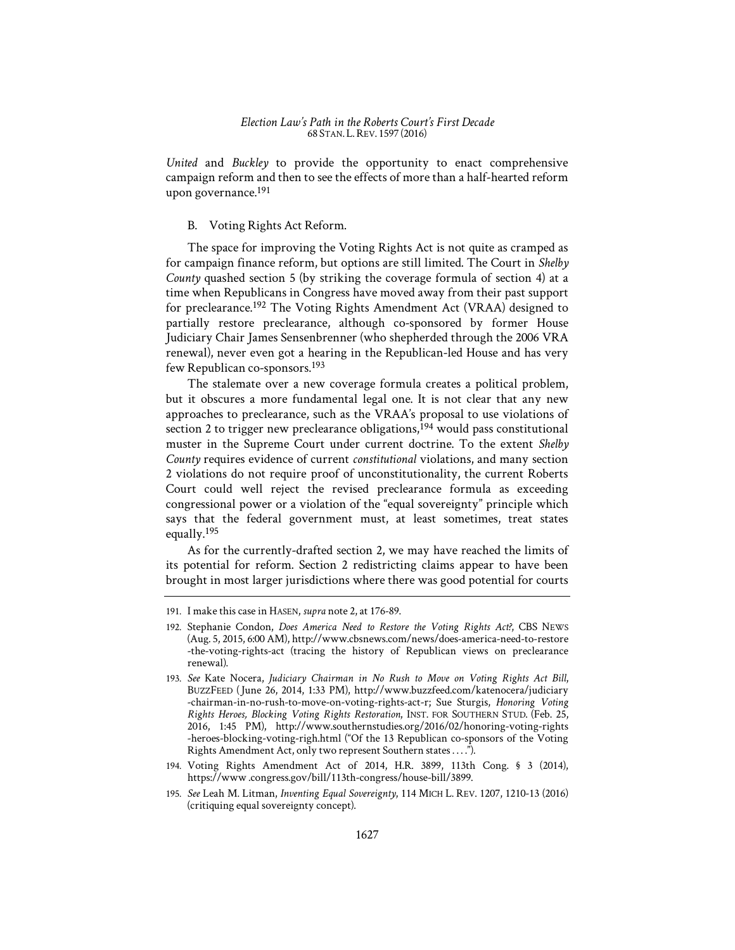*United* and *Buckley* to provide the opportunity to enact comprehensive campaign reform and then to see the effects of more than a half-hearted reform upon governance.191

## B. Voting Rights Act Reform.

The space for improving the Voting Rights Act is not quite as cramped as for campaign finance reform, but options are still limited. The Court in *Shelby County* quashed section 5 (by striking the coverage formula of section 4) at a time when Republicans in Congress have moved away from their past support for preclearance.192 The Voting Rights Amendment Act (VRAA) designed to partially restore preclearance, although co-sponsored by former House Judiciary Chair James Sensenbrenner (who shepherded through the 2006 VRA renewal), never even got a hearing in the Republican-led House and has very few Republican co-sponsors.193

The stalemate over a new coverage formula creates a political problem, but it obscures a more fundamental legal one. It is not clear that any new approaches to preclearance, such as the VRAA's proposal to use violations of section 2 to trigger new preclearance obligations,  $194$  would pass constitutional muster in the Supreme Court under current doctrine. To the extent *Shelby County* requires evidence of current *constitutional* violations, and many section 2 violations do not require proof of unconstitutionality, the current Roberts Court could well reject the revised preclearance formula as exceeding congressional power or a violation of the "equal sovereignty" principle which says that the federal government must, at least sometimes, treat states equally.195

As for the currently-drafted section 2, we may have reached the limits of its potential for reform. Section 2 redistricting claims appear to have been brought in most larger jurisdictions where there was good potential for courts

- 194. Voting Rights Amendment Act of 2014, H.R. 3899, 113th Cong. § 3 (2014), https://www .congress.gov/bill/113th-congress/house-bill/3899.
- 195. *See* Leah M. Litman, *Inventing Equal Sovereignty*, 114 MICH L. REV. 1207, 1210-13 (2016) (critiquing equal sovereignty concept).

<sup>191.</sup> I make this case in HASEN, *supra* note 2, at 176-89.

<sup>192.</sup> Stephanie Condon, *Does America Need to Restore the Voting Rights Act?*, CBS NEWS (Aug. 5, 2015, 6:00 AM), http://www.cbsnews.com/news/does-america-need-to-restore -the-voting-rights-act (tracing the history of Republican views on preclearance renewal).

<sup>193.</sup> *See* Kate Nocera, *Judiciary Chairman in No Rush to Move on Voting Rights Act Bill*, BUZZFEED (June 26, 2014, 1:33 PM), http://www.buzzfeed.com/katenocera/judiciary -chairman-in-no-rush-to-move-on-voting-rights-act-r; Sue Sturgis, *Honoring Voting Rights Heroes, Blocking Voting Rights Restoration*, INST. FOR SOUTHERN STUD. (Feb. 25, 2016, 1:45 PM), http://www.southernstudies.org/2016/02/honoring-voting-rights -heroes-blocking-voting-righ.html ("Of the 13 Republican co-sponsors of the Voting Rights Amendment Act, only two represent Southern states . . . .").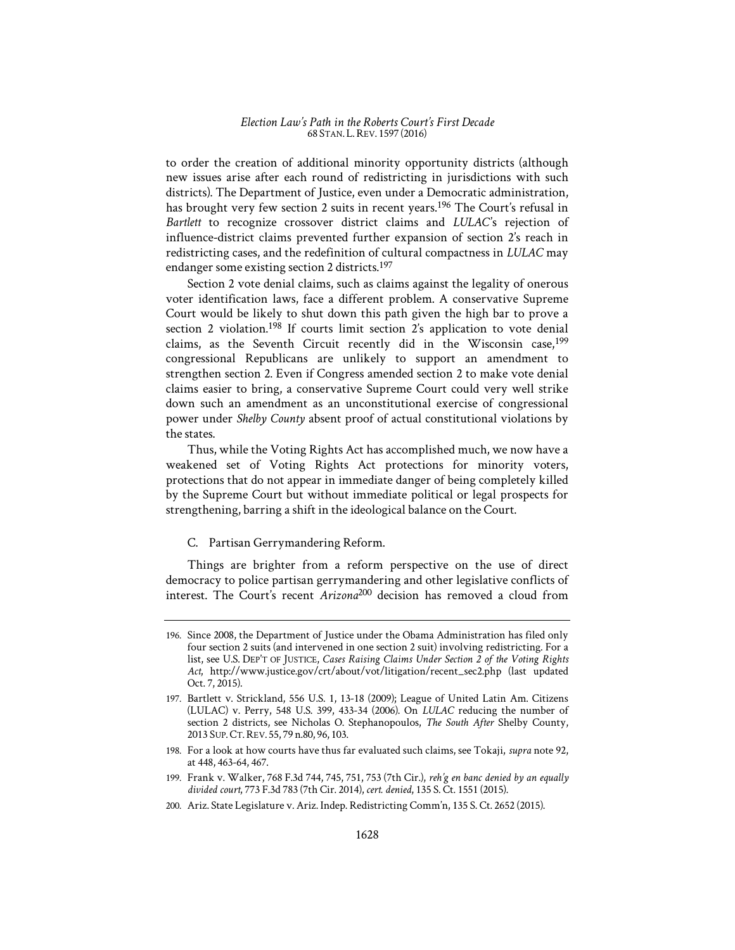to order the creation of additional minority opportunity districts (although new issues arise after each round of redistricting in jurisdictions with such districts). The Department of Justice, even under a Democratic administration, has brought very few section 2 suits in recent years.196 The Court's refusal in Bartlett to recognize crossover district claims and *LULAC's* rejection of influence-district claims prevented further expansion of section 2's reach in redistricting cases, and the redefinition of cultural compactness in *LULAC* may endanger some existing section 2 districts.197

Section 2 vote denial claims, such as claims against the legality of onerous voter identification laws, face a different problem. A conservative Supreme Court would be likely to shut down this path given the high bar to prove a section 2 violation.<sup>198</sup> If courts limit section 2's application to vote denial claims, as the Seventh Circuit recently did in the Wisconsin case,<sup>199</sup> congressional Republicans are unlikely to support an amendment to strengthen section 2. Even if Congress amended section 2 to make vote denial claims easier to bring, a conservative Supreme Court could very well strike down such an amendment as an unconstitutional exercise of congressional power under *Shelby County* absent proof of actual constitutional violations by the states.

Thus, while the Voting Rights Act has accomplished much, we now have a weakened set of Voting Rights Act protections for minority voters, protections that do not appear in immediate danger of being completely killed by the Supreme Court but without immediate political or legal prospects for strengthening, barring a shift in the ideological balance on the Court.

## C. Partisan Gerrymandering Reform.

Things are brighter from a reform perspective on the use of direct democracy to police partisan gerrymandering and other legislative conflicts of interest. The Court's recent *Arizona*200 decision has removed a cloud from

200. Ariz. State Legislature v. Ariz. Indep. Redistricting Comm'n, 135 S. Ct. 2652 (2015).

<sup>196.</sup> Since 2008, the Department of Justice under the Obama Administration has filed only four section 2 suits (and intervened in one section 2 suit) involving redistricting. For a list, see U.S. DEP'T OF JUSTICE, *Cases Raising Claims Under Section 2 of the Voting Rights Act*, http://www.justice.gov/crt/about/vot/litigation/recent\_sec2.php (last updated Oct. 7, 2015).

<sup>197.</sup> Bartlett v. Strickland, 556 U.S. 1, 13-18 (2009); League of United Latin Am. Citizens (LULAC) v. Perry, 548 U.S. 399, 433-34 (2006). On *LULAC* reducing the number of section 2 districts, see Nicholas O. Stephanopoulos, *The South After* Shelby County, 2013 SUP.CT.REV. 55, 79 n.80, 96, 103.

<sup>198.</sup> For a look at how courts have thus far evaluated such claims, see Tokaji, *supra* note 92, at 448, 463-64, 467.

<sup>199.</sup> Frank v. Walker, 768 F.3d 744, 745, 751, 753 (7th Cir.), *reh'g en banc denied by an equally divided court*, 773 F.3d 783 (7th Cir. 2014), *cert. denied*, 135 S. Ct. 1551 (2015).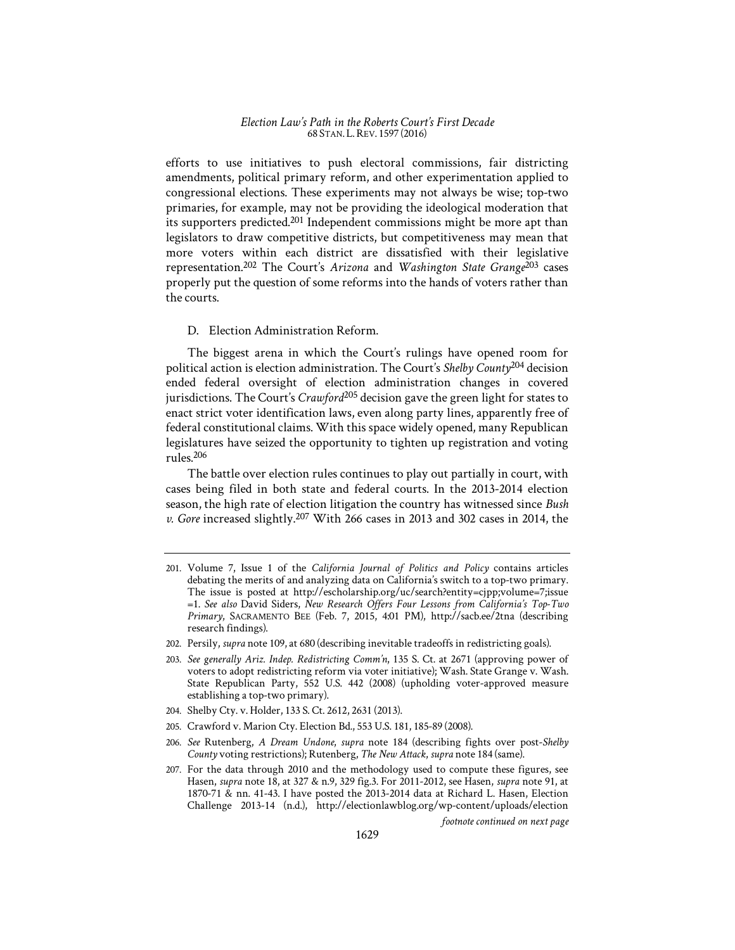efforts to use initiatives to push electoral commissions, fair districting amendments, political primary reform, and other experimentation applied to congressional elections. These experiments may not always be wise; top-two primaries, for example, may not be providing the ideological moderation that its supporters predicted.<sup>201</sup> Independent commissions might be more apt than legislators to draw competitive districts, but competitiveness may mean that more voters within each district are dissatisfied with their legislative representation.202 The Court's *Arizona* and *Washington State Grange*203 cases properly put the question of some reforms into the hands of voters rather than the courts.

## D. Election Administration Reform.

The biggest arena in which the Court's rulings have opened room for political action is election administration. The Court's *Shelby County*204 decision ended federal oversight of election administration changes in covered jurisdictions. The Court's *Crawford*205 decision gave the green light for states to enact strict voter identification laws, even along party lines, apparently free of federal constitutional claims. With this space widely opened, many Republican legislatures have seized the opportunity to tighten up registration and voting rules.206

The battle over election rules continues to play out partially in court, with cases being filed in both state and federal courts. In the 2013-2014 election season, the high rate of election litigation the country has witnessed since *Bush v. Gore* increased slightly.207 With 266 cases in 2013 and 302 cases in 2014, the

- 204. Shelby Cty. v. Holder, 133 S. Ct. 2612, 2631 (2013).
- 205. Crawford v. Marion Cty. Election Bd., 553 U.S. 181, 185-89 (2008).
- 206. *See* Rutenberg, *A Dream Undone*, *supra* note 184 (describing fights over post-*Shelby County* voting restrictions); Rutenberg, *The New Attack*, *supra* note 184 (same).
- 207. For the data through 2010 and the methodology used to compute these figures, see Hasen, *supra* note 18, at 327 & n.9, 329 fig.3. For 2011-2012, see Hasen, *supra* note 91, at 1870-71 & nn. 41-43. I have posted the 2013-2014 data at Richard L. Hasen, Election Challenge 2013-14 (n.d.), http://electionlawblog.org/wp-content/uploads/election

*footnote continued on next page* 

<sup>201.</sup> Volume 7, Issue 1 of the *California Journal of Politics and Policy* contains articles debating the merits of and analyzing data on California's switch to a top-two primary. The issue is posted at http://escholarship.org/uc/search?entity=cjpp;volume=7;issue =1. *See also* David Siders, *New Research Offers Four Lessons from California's Top-Two Primary*, SACRAMENTO BEE (Feb. 7, 2015, 4:01 PM), http://sacb.ee/2tna (describing research findings).

<sup>202.</sup> Persily, *supra* note 109, at 680 (describing inevitable tradeoffs in redistricting goals).

<sup>203.</sup> *See generally Ariz. Indep. Redistricting Comm'n*, 135 S. Ct. at 2671 (approving power of voters to adopt redistricting reform via voter initiative); Wash. State Grange v. Wash. State Republican Party, 552 U.S. 442 (2008) (upholding voter-approved measure establishing a top-two primary).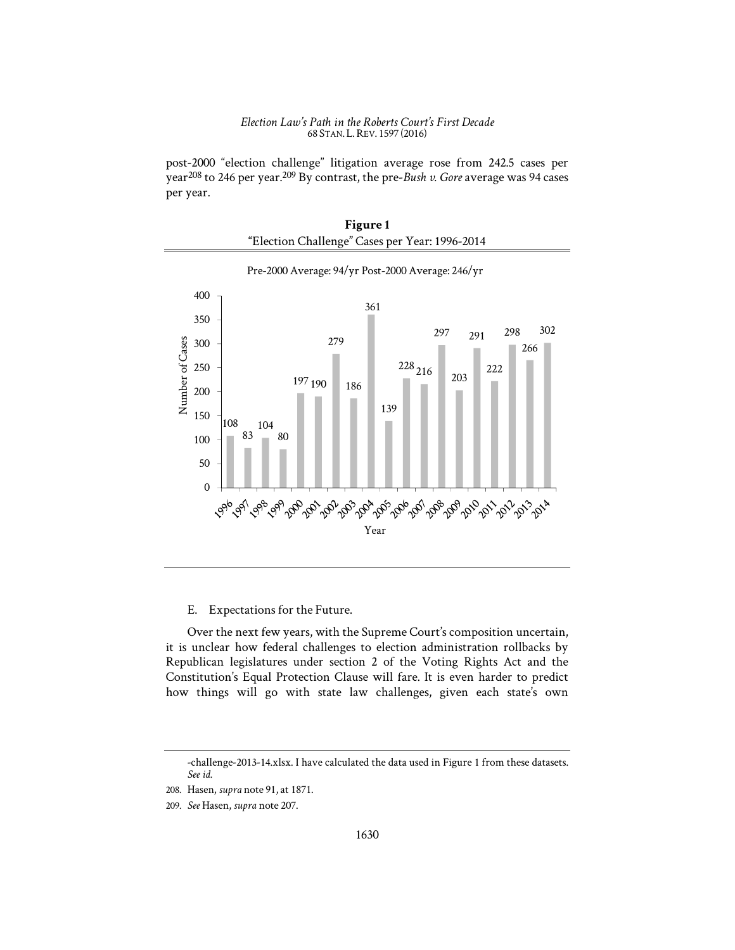post-2000 "election challenge" litigation average rose from 242.5 cases per year208 to 246 per year.209 By contrast, the pre-*Bush v. Gore* average was 94 cases per year.

| Figure 1                                       |  |
|------------------------------------------------|--|
| "Election Challenge" Cases per Year: 1996-2014 |  |



Pre-2000 Average: 94/yr Post-2000 Average: 246/yr

## E. Expectations for the Future.

Over the next few years, with the Supreme Court's composition uncertain, it is unclear how federal challenges to election administration rollbacks by Republican legislatures under section 2 of the Voting Rights Act and the Constitution's Equal Protection Clause will fare. It is even harder to predict how things will go with state law challenges, given each state's own

<sup>-</sup>challenge-2013-14.xlsx. I have calculated the data used in Figure 1 from these datasets. *See id.* 

<sup>208.</sup> Hasen, *supra* note 91, at 1871.

<sup>209.</sup> *See* Hasen, *supra* note 207.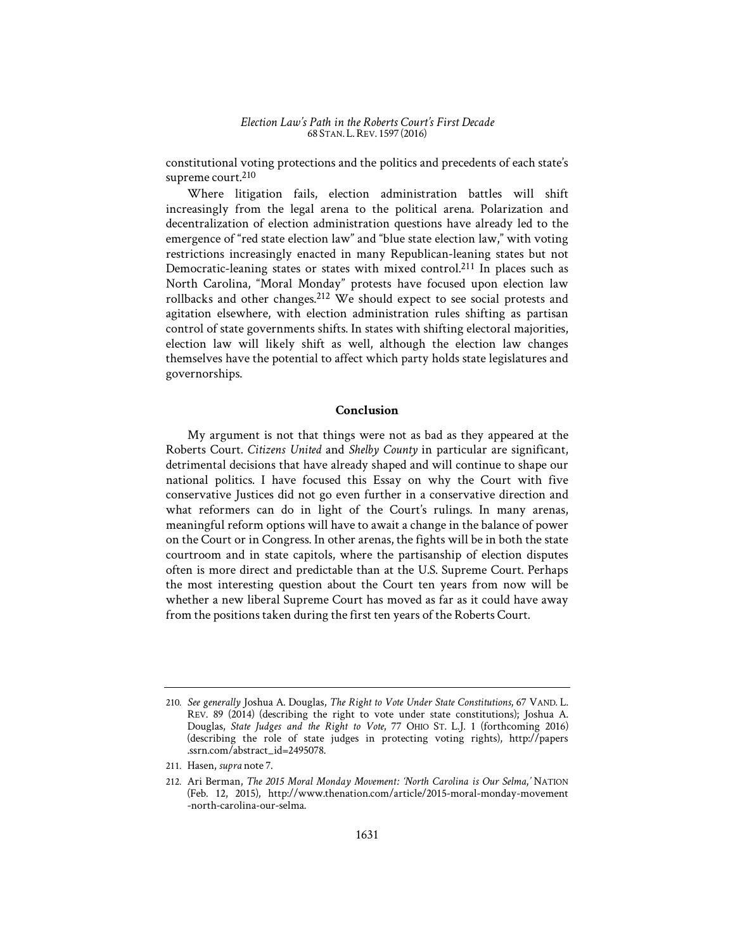constitutional voting protections and the politics and precedents of each state's supreme court.<sup>210</sup>

Where litigation fails, election administration battles will shift increasingly from the legal arena to the political arena. Polarization and decentralization of election administration questions have already led to the emergence of "red state election law" and "blue state election law," with voting restrictions increasingly enacted in many Republican-leaning states but not Democratic-leaning states or states with mixed control.211 In places such as North Carolina, "Moral Monday" protests have focused upon election law rollbacks and other changes.<sup>212</sup> We should expect to see social protests and agitation elsewhere, with election administration rules shifting as partisan control of state governments shifts. In states with shifting electoral majorities, election law will likely shift as well, although the election law changes themselves have the potential to affect which party holds state legislatures and governorships.

## **Conclusion**

My argument is not that things were not as bad as they appeared at the Roberts Court. *Citizens United* and *Shelby County* in particular are significant, detrimental decisions that have already shaped and will continue to shape our national politics. I have focused this Essay on why the Court with five conservative Justices did not go even further in a conservative direction and what reformers can do in light of the Court's rulings. In many arenas, meaningful reform options will have to await a change in the balance of power on the Court or in Congress. In other arenas, the fights will be in both the state courtroom and in state capitols, where the partisanship of election disputes often is more direct and predictable than at the U.S. Supreme Court. Perhaps the most interesting question about the Court ten years from now will be whether a new liberal Supreme Court has moved as far as it could have away from the positions taken during the first ten years of the Roberts Court.

<sup>210.</sup> *See generally* Joshua A. Douglas, *The Right to Vote Under State Constitutions*, 67 VAND. L. REV. 89 (2014) (describing the right to vote under state constitutions); Joshua A. Douglas, *State Judges and the Right to Vote*, 77 OHIO ST. L.J. 1 (forthcoming 2016) (describing the role of state judges in protecting voting rights), http://papers .ssrn.com/abstract\_id=2495078.

<sup>211.</sup> Hasen, *supra* note 7.

<sup>212.</sup> Ari Berman, *The 2015 Moral Monday Movement*1'*: 'North Carolina is Our Selma*,*'* NATION (Feb. 12, 2015), http://www.thenation.com/article/2015-moral-monday-movement -north-carolina-our-selma.